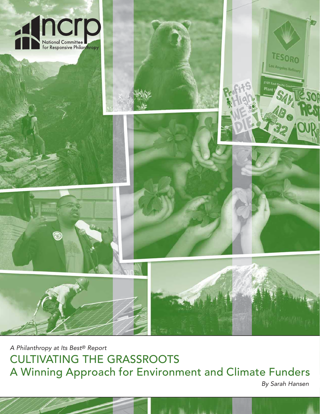

A Philanthropy at Its Best® Report CULTIVATING THE GRASSROOTS A Winning Approach for Environment and Climate Funders

By Sarah Hansen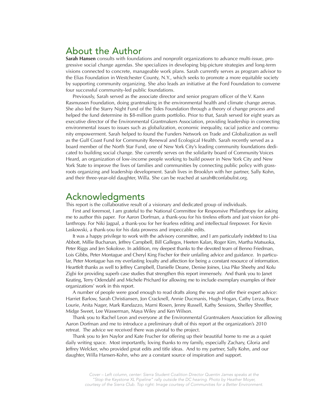# About the Author

**Sarah Hansen** consults with foundations and nonprofit organizations to advance multi-issue, progressive social change agendas. She specializes in developing big-picture strategies and long-term visions connected to concrete, manageable work plans. Sarah currently serves as program advisor to the Elias Foundation in Westchester County, N.Y., which seeks to promote a more equitable society by supporting community organizing. She also leads an initiative at the Ford Foundation to convene four successful community-led public foundations.

Previously, Sarah served as the associate director and senior program officer of the V. Kann Rasmussen Foundation, doing grantmaking in the environmental health and climate change arenas. She also led the Starry Night Fund of the Tides Foundation through a theory of change process and helped the fund determine its \$8-million grants portfolio. Prior to that, Sarah served for eight years as executive director of the Environmental Grantmakers Association, providing leadership in connecting environmental issues to issues such as globalization, economic inequality, racial justice and community empowerment. Sarah helped to found the Funders Network on Trade and Globalization as well as the Gulf Coast Fund for Community Renewal and Ecological Health. Sarah recently served as a board member of the North Star Fund, one of New York City's leading community foundations dedicated to building social change. She currently serves on the solidarity board of Community Voices Heard, an organization of low-income people working to build power in New York City and New York State to improve the lives of families and communities by connecting public policy with grassroots organizing and leadership development. Sarah lives in Brooklyn with her partner, Sally Kohn, and their three-year-old daughter, Willa. She can be reached at sarah@confabulist.org.

### Acknowledgments

This report is the collaborative result of a visionary and dedicated group of individuals.

First and foremost, I am grateful to the National Committee for Responsive Philanthropy for asking me to author this paper. For Aaron Dorfman, a thank-you for his tireless efforts and just vision for philanthropy. For Niki Jagpal, a thank-you for her fearless editing and intellectual firepower. For Kevin Laskowski, a thank-you for his data prowess and impeccable edits.

It was a happy privilege to work with the advisory committee, and I am particularly indebted to Lisa Abbott, Millie Buchanan, Jeffrey Campbell, Bill Gallegos, Heeten Kalan, Roger Kim, Martha Matsuoka, Peter Riggs and Jen Sokolove. In addition, my deepest thanks to the devoted team of Benno Friedman, Lois Gibbs, Peter Montague and Cheryl King Fischer for their unfailing advice and guidance. In particular, Peter Montague has my everlasting loyalty and affection for being a constant resource of information. Heartfelt thanks as well to Jeffrey Campbell, Danielle Deane, Denise Joines, Lisa Pike Sheehy and Kolu Zigbi for providing superb case studies that strengthen this report immensely. And thank you to Janet Keating, Terry Odendahl and Michele Prichard for allowing me to include exemplary examples of their organizations' work in this report.

A number of people were good enough to read drafts along the way and offer their expert advice: Harriet Barlow, Sarah Christiansen, Jon Cracknell, Annie Ducmanis, Hugh Hogan, Cathy Lerza, Bruce Lourie, Anita Nager, Mark Randazzo, Marni Rosen, Jenny Russell, Kathy Sessions, Shelley Shreffler, Midge Sweet, Lee Wasserman, Maya Wiley and Ken Wilson.

Thank you to Rachel Leon and everyone at the Environmental Grantmakers Association for allowing Aaron Dorfman and me to introduce a preliminary draft of this report at the organization's 2010 retreat. The advice we received there was pivotal to the project.

Thank you to Jen Naylor and Kate Frucher for offering up their beautiful home to me as a quiet daily writing space. Most importantly, loving thanks to my family, especially Zachary, Gloria and Jeffrey Welcker, who provided great edits and title ideas. And to my partner, Sally Kohn, and our daughter, Willa Hansen-Kohn, who are a constant source of inspiration and support.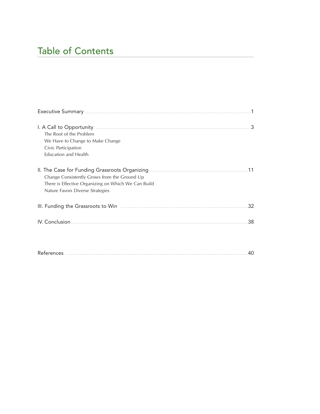# Table of Contents

| .3<br>The Root of the Problem<br>We Have to Change to Make Change<br>Civic Participation<br><b>Education and Health</b>                 |
|-----------------------------------------------------------------------------------------------------------------------------------------|
| Change Consistently Grows from the Ground Up<br>There is Effective Organizing on Which We Can Build<br>Nature Favors Diverse Strategies |
| 32                                                                                                                                      |
| 38<br>IV. Conclusion.                                                                                                                   |
| .40                                                                                                                                     |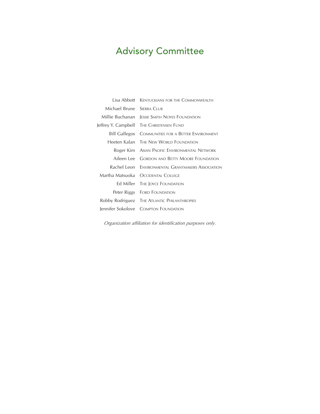# Advisory Committee

|                             | Lisa Abbott KENTUCKIANS FOR THE COMMONWEALTH      |
|-----------------------------|---------------------------------------------------|
| Michael Brune - SIERRA CLUB |                                                   |
| Millie Buchanan-            | <b>JESSIE SMITH NOYES FOUNDATION</b>              |
|                             | Jeffrey Y. Campbell THE CHRISTENSEN FUND          |
| Bill Gallegos               | <b>COMMUNITIES FOR A BETTER ENVIRONMENT</b>       |
|                             | Heeten Kalan THE NEW WORLD FOUNDATION             |
|                             | Roger Kim ASIAN PACIFIC ENVIRONMENTAL NETWORK     |
|                             | Aileen Lee GORDON AND BETTY MOORE FOUNDATION      |
|                             | Rachel Leon ENVIRONMENTAL GRANTMAKERS ASSOCIATION |
|                             | Martha Matsuoka - Occidental College              |
|                             | Ed Miller THE JOYCE FOUNDATION                    |
|                             | Peter Riggs FORD FOUNDATION                       |
|                             | Robby Rodriguez THE ATLANTIC PHILANTHROPIES       |
|                             | Jennifer Sokolove COMPTON FOUNDATION              |

*Organization affiliation for identification purposes only.*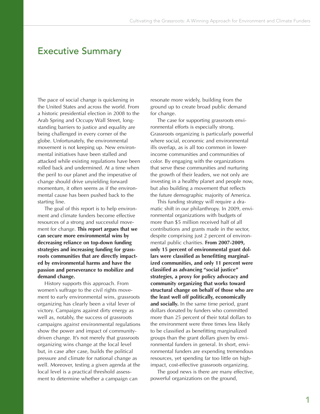### Executive Summary

The pace of social change is quickening in the United States and across the world. From a historic presidential election in 2008 to the Arab Spring and Occupy Wall Street, longstanding barriers to justice and equality are being challenged in every corner of the globe. Unfortunately, the environmental movement is not keeping up. New environmental initiatives have been stalled and attacked while existing regulations have been rolled back and undermined. At a time when the peril to our planet and the imperative of change should drive unyielding forward momentum, it often seems as if the environmental cause has been pushed back to the starting line.

The goal of this report is to help environment and climate funders become effective resources of a strong and successful movement for change. **This report argues that we can secure more environmental wins by decreasing reliance on top-down funding strategies and increasing funding for grassroots communities that are directly impacted by environmental harms and have the passion and perseverance to mobilize and demand change.**

History supports this approach. From women's suffrage to the civil rights movement to early environmental wins, grassroots organizing has clearly been a vital lever of victory. Campaigns against dirty energy as well as, notably, the success of grassroots campaigns *against* environmental regulations show the power and impact of communitydriven change. It's not merely that grassroots organizing wins change at the local level but, in case after case, builds the political pressure and climate for national change as well. Moreover, testing a given agenda at the local level is a practical threshold assessment to determine whether a campaign can

resonate more widely, building from the ground up to create broad public demand for change.

The case for supporting grassroots environmental efforts is especially strong. Grassroots organizing is particularly powerful where social, economic and environmental ills overlap, as is all too common in lowerincome communities and communities of color. By engaging with the organizations that serve these communities and nurturing the growth of their leaders, we not only are investing in a healthy planet and people now, but also building a movement that reflects the future demographic majority of America.

This funding strategy will require a dramatic shift in our philanthropy. In 2009, environmental organizations with budgets of more than \$5 million received half of all contributions and grants made in the sector, despite comprising just 2 percent of environmental public charities. **From 2007-2009, only 15 percent of environmental grant dollars were classified as benefitting marginalized communities, and only 11 percent were classified as advancing "social justice" strategies, a proxy for policy advocacy and community organizing that works toward structural change on behalf of those who are the least well off politically, economically and socially.** In the same time period, grant dollars donated by funders who committed more than 25 percent of their total dollars to the environment were three times less likely to be classified as benefitting marginalized groups than the grant dollars given by environmental funders in general. In short, environmental funders are expending tremendous resources, yet spending far too little on highimpact, cost-effective grassroots organizing.

The good news is there are many effective, powerful organizations on the ground,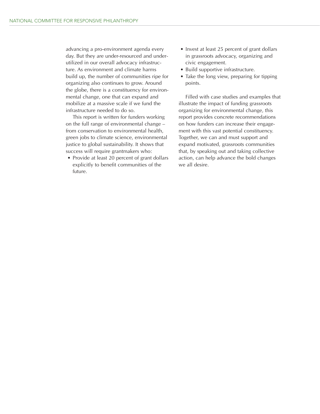advancing a pro-environment agenda every day. But they are under-resourced and underutilized in our overall advocacy infrastructure. As environment and climate harms build up, the number of communities ripe for organizing also continues to grow. Around the globe, there is a constituency for environmental change, one that can expand and mobilize at a massive scale if we fund the infrastructure needed to do so.

This report is written for funders working on the full range of environmental change – from conservation to environmental health, green jobs to climate science, environmental justice to global sustainability. It shows that success will require grantmakers who:

• Provide at least 20 percent of grant dollars explicitly to benefit communities of the future.

- Invest at least 25 percent of grant dollars in grassroots advocacy, organizing and civic engagement.
- Build supportive infrastructure.
- Take the long view, preparing for tipping points.

Filled with case studies and examples that illustrate the impact of funding grassroots organizing for environmental change, this report provides concrete recommendations on how funders can increase their engagement with this vast potential constituency. Together, we can and must support and expand motivated, grassroots communities that, by speaking out and taking collective action, can help advance the bold changes we all desire.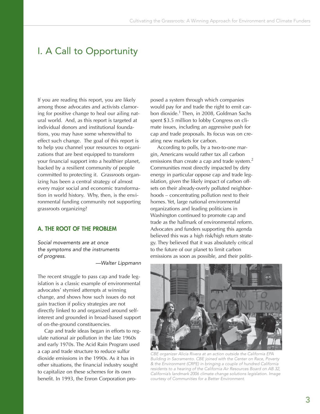# I. A Call to Opportunity

If you are reading this report, you are likely among those advocates and activists clamoring for positive change to heal our ailing natural world. And, as this report is targeted at individual donors and institutional foundations, you may have some wherewithal to effect such change. The goal of this report is to help you channel your resources to organizations that are best equipped to transform your financial support into a healthier planet, backed by a resilient community of people committed to protecting it. Grassroots organizing has been a central strategy of almost every major social and economic transformation in world history. Why, then, is the environmental funding community not supporting grassroots organizing?

#### **A. THE ROOT OF THE PROBLEM**

Social movements are at once the symptoms and the instruments of progress.

—Walter Lippmann

The recent struggle to pass cap and trade legislation is a classic example of environmental advocates' stymied attempts at winning change, and shows how such issues do not gain traction if policy strategies are not directly linked to and organized around selfinterest and grounded in broad-based support of on-the-ground constituencies.

Cap and trade ideas began in efforts to regulate national air pollution in the late 1960s and early 1970s. The Acid Rain Program used a cap and trade structure to reduce sulfur dioxide emissions in the 1990s. As it has in other situations, the financial industry sought to capitalize on these schemes for its own benefit. In 1993, the Enron Corporation proposed a system through which companies would pay for and trade the right to emit carbon dioxide.<sup>1</sup> Then, in 2008, Goldman Sachs spent \$3.5 million to lobby Congress on climate issues, including an aggressive push for cap and trade proposals. Its focus was on creating new markets for carbon.

According to polls, by a two-to-one margin, Americans would rather tax all carbon emissions than create a cap and trade system.<sup>2</sup> Communities most directly impacted by dirty energy in particular oppose cap and trade legislation, given the likely impact of carbon offsets on their already-overly polluted neighborhoods – concentrating pollution next to their homes. Yet, large national environmental organizations and leading politicians in Washington continued to promote cap and trade as the hallmark of environmental reform. Advocates and funders supporting this agenda believed this was a high risk/high return strategy. They believed that it was absolutely critical to the future of our planet to limit carbon emissions as soon as possible, and their politi-



CBE organizer Alicia Rivera at an action outside the California EPA Building in Sacramento. CBE joined with the Center on Race, Poverty & the Environment (CRPE) in bringing a couple of hundred California residents to a hearing of the California Air Resources Board on AB 32, California's landmark 2006 climate change solutions legislation. Image courtesy of Communities for a Better Environment.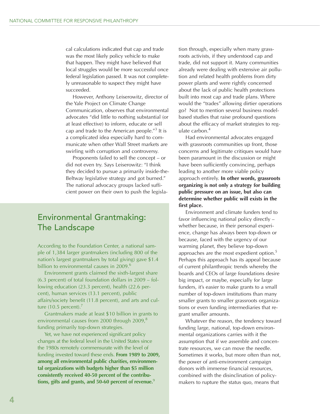cal calculations indicated that cap and trade was the most likely policy vehicle to make that happen. They might have believed that local struggles would be more successful once federal legislation passed. It was not completely unreasonable to suspect they might have succeeded.

However, Anthony Leiserowitz, director of the Yale Project on Climate Change Communication, observes that environmental advocates "did little to nothing substantial (or at least effective) to inform, educate or sell cap and trade to the American people."3 It is a complicated idea especially hard to communicate when other Wall Street markets are swirling with corruption and controversy.

Proponents failed to sell the concept – or did not even try. Says Leiserowitz: "I think they decided to pursue a primarily inside-the-Beltway legislative strategy and got burned." The national advocacy groups lacked sufficient power on their own to push the legisla-

### Environmental Grantmaking: The Landscape

According to the Foundation Center, a national sample of 1,384 larger grantmakers (including 800 of the nation's largest grantmakers by total giving) gave \$1.4 billion to environmental causes in  $2009<sup>6</sup>$ 

Environment grants claimed the sixth-largest share (6.3 percent) of total foundation dollars in 2009 – following education (23.3 percent), health (22.6 percent), human services (13.1 percent), public affairs/society benefit (11.8 percent), and arts and culture (10.5 percent). $<sup>7</sup>$ </sup>

Grantmakers made at least \$10 billion in grants to environmental causes from 2000 through 2009,<sup>8</sup> funding primarily top-down strategies.

Yet, we have not experienced significant policy changes at the federal level in the United States since the 1980s remotely commensurate with the level of funding invested toward these ends. **From 1989 to 2009, among all environmental public charities, environmental organizations with budgets higher than \$5 million consistently received 40-50 percent of the contributions, gifts and grants, and 50-60 percent of revenue.**<sup>9</sup>

tion through, especially when many grassroots activists, if they understood cap and trade, did not support it. Many communities already were dealing with extensive air pollution and related health problems from dirty power plants and were rightly concerned about the lack of public health protections built into most cap and trade plans. Where would the "trades" allowing dirtier operations go? Not to mention several business modelbased studies that raise profound questions about the efficacy of market strategies to regulate carbon.<sup>4</sup>

Had environmental advocates engaged with grassroots communities up front, those concerns and legitimate critiques would have been paramount in the discussion or might have been sufficiently convincing, perhaps leading to another more viable policy approach entirely. **In other words, grassroots organizing is not only a strategy for building public pressure on an issue, but also can determine whether public will exists in the first place.**

Environment and climate funders tend to favor influencing national policy directly – whether because, in their personal experience, change has always been top-down or because, faced with the urgency of our warming planet, they believe top-down approaches are the most expedient option.<sup>5</sup> Perhaps this approach has its appeal because of current philanthropic trends whereby the boards and CEOs of large foundations desire big impact, or maybe, especially for large funders, it's easier to make grants to a small number of top-down institutions than many smaller grants to smaller grassroots organizations or even funding intermediaries that regrant smaller amounts.

Whatever the reason, the tendency toward funding large, national, top-down environmental organizations carries with it the assumption that if we assemble and concentrate resources, we can move the needle. Sometimes it works, but more often than not, the power of anti-environment campaign donors with immense financial resources, combined with the disinclination of policymakers to rupture the status quo, means that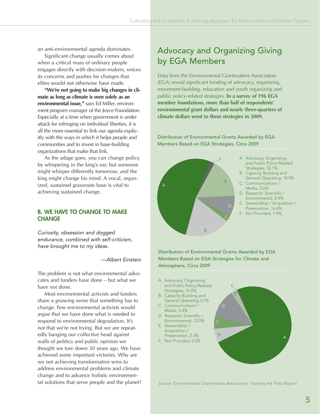an anti-environmental agenda dominates.

Significant change usually comes about when a critical mass of ordinary people engages directly with decision-makers, voices its concerns and pushes for changes that elites would not otherwise have made.

**"We're not going to make big changes in climate as long as climate is seen solely as an environmental issue,"** says Ed Miller, environment program manager of the Joyce Foundation. Especially at a time when government is under attack for infringing on individual liberties, it is all the more essential to link our agenda explicitly with the ways in which it helps people and communities and to invest in base-building organizations that make that link.

As the adage goes, you can change policy by whispering in the king's ear, but someone might whisper differently tomorrow, and the king might change his mind. A vocal, organized, sustained grassroots base is vital to achieving sustained change.

#### **B. WE HAVE TO CHANGE TO MAKE CHANGE**

Curiosity, obsession and dogged endurance, combined with self-criticism, have brought me to my ideas.

—Albert Einstein

The problem is not what environmental advocates and funders have done – but what we have *not* done.

Most environmental activists and funders share a gnawing sense that something has to change. Few environmental activists would argue that we have done what is needed to respond to environmental degradation. It's not that we're not trying. But we are repeatedly banging our collective head against walls of politics and public opinion we thought we tore down 30 years ago. We have achieved some important victories. Why are we not achieving transformative wins to address environmental problems and climate change and to advance holistic environmental solutions that serve people and the planet?

## Advocacy and Organizing Giving by EGA Members

Data from the Environmental Grantmakers Association (EGA) reveal significant funding of advocacy, organizing, movement-building, education and youth organizing and public policy-related strategies. **In a survey of 196 EGA member foundations, more than half of respondents' environmental grant dollars and nearly three-quarters of climate dollars went to these strategies in 2009.**

Distribution of Environmental Grants Awarded by EGA Members Based on EGA Strategies, Circa 2009



Distribution of Environmental Grants Awarded by EGA Members Based on EGA Strategies for Climate and Atmosphere, Circa 2009

A. Advocacy, Organizing and Public Policy-Related Strategies, 74.0% B. Capacity Building and General Operating, 5.7% C. Communications / Media, 5.4% D. Research: Scientific / Environmental, 12.0% E. Stewardship / Acquisition / Preservation, 2.3% F. Not Provided, 0.5% <sup>A</sup> <sup>B</sup> C D E F

Source: Environmental Grantmakers Association, Tracking the Field Report.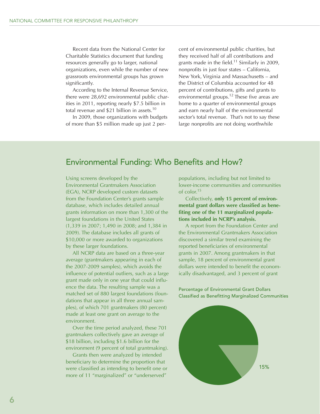Recent data from the National Center for Charitable Statistics document that funding resources generally go to larger, national organizations, even while the number of new grassroots environmental groups has grown significantly.

According to the Internal Revenue Service, there were 28,692 environmental public charities in 2011, reporting nearly \$7.5 billion in total revenue and \$21 billion in assets.<sup>10</sup>

In 2009, those organizations with budgets of more than \$5 million made up just 2 per-

cent of environmental public charities, but they received half of all contributions and grants made in the field.<sup>11</sup> Similarly in 2009, nonprofits in just four states – California, New York, Virginia and Massachusetts – and the District of Columbia accounted for 48 percent of contributions, gifts and grants to environmental groups.<sup>12</sup> These five areas are home to a quarter of environmental groups and earn nearly half of the environmental sector's total revenue. That's not to say these large nonprofits are not doing worthwhile

### Environmental Funding: Who Benefits and How?

Using screens developed by the Environmental Grantmakers Association (EGA), NCRP developed custom datasets from the Foundation Center's grants sample database, which includes detailed annual grants information on more than 1,300 of the largest foundations in the United States (1,339 in 2007; 1,490 in 2008; and 1,384 in 2009). The database includes all grants of \$10,000 or more awarded to organizations by these larger foundations.

All NCRP data are based on a three-year average (grantmakers appearing in each of the 2007-2009 samples), which avoids the influence of potential outliers, such as a large grant made only in one year that could influence the data. The resulting sample was a matched set of 880 largest foundations (foundations that appear in all three annual samples), of which 701 grantmakers (80 percent) made at least one grant on average to the environment.

Over the time period analyzed, these 701 grantmakers collectively gave an average of \$18 billion, including \$1.6 billion for the environment (9 percent of total grantmaking).

Grants then were analyzed by intended beneficiary to determine the proportion that were classified as intending to benefit one or more of 11 "marginalized" or "underserved"

populations, including but not limited to lower-income communities and communities of color.15

Collectively, **only 15 percent of environmental grant dollars were classified as benefiting one of the 11 marginalized populations included in NCRP's analysis.**

A report from the Foundation Center and the Environmental Grantmakers Association discovered a similar trend examining the reported beneficiaries of environmental grants in 2007. Among grantmakers in that sample, 18 percent of environmental grant dollars were intended to benefit the economically disadvantaged, and 3 percent of grant

Percentage of Environmental Grant Dollars Classified as Benefitting Marginalized Communities

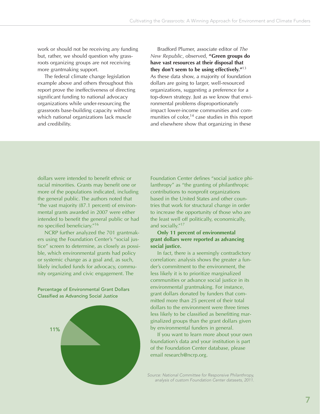work or should not be receiving *any* funding but, rather, we should question why grassroots organizing groups are not receiving more grantmaking support.

The federal climate change legislation example above and others throughout this report prove the ineffectiveness of directing significant funding to national advocacy organizations while under-resourcing the grassroots base-building capacity without which national organizations lack muscle and credibility.

Bradford Plumer, associate editor of *The New Republic*, observed, **"Green groups do have vast resources at their disposal that they don't seem to be using effectively."**<sup>13</sup> As these data show, a majority of foundation dollars are going to larger, well-resourced organizations, suggesting a preference for a top-down strategy. Just as we know that environmental problems disproportionately impact lower-income communities and communities of color, $14$  case studies in this report and elsewhere show that organizing in these

dollars were intended to benefit ethnic or racial minorities. Grants may benefit one or more of the populations indicated, including the general public. The authors noted that "the vast majority (87.1 percent) of environmental grants awarded in 2007 were either intended to benefit the general public or had no specified beneficiary."16

NCRP further analyzed the 701 grantmakers using the Foundation Center's "social justice" screen to determine, as closely as possible, which environmental grants had policy or systemic change as a goal and, as such, likely included funds for advocacy, community organizing and civic engagement. The

Percentage of Environmental Grant Dollars Classified as Advancing Social Justice



Foundation Center defines "social justice philanthropy" as "the granting of philanthropic contributions to nonprofit organizations based in the United States and other countries that work for structural change in order to increase the opportunity of those who are the least well off politically, economically, and socially."17

#### **Only 11 percent of environmental grant dollars were reported as advancing social justice.**

In fact, there is a seemingly contradictory correlation: analysis shows the greater a funder's commitment to the environment, the less likely it is to prioritize marginalized communities or advance social justice in its environmental grantmaking. For instance, grant dollars donated by funders that committed more than 25 percent of their total dollars to the environment were three times less likely to be classified as benefitting marginalized groups than the grant dollars given by environmental funders in general.

If you want to learn more about your own foundation's data and your institution is part of the Foundation Center database, please email research@ncrp.org.

Source: National Committee for Responsive Philanthropy, analysis of custom Foundation Center datasets, 2011.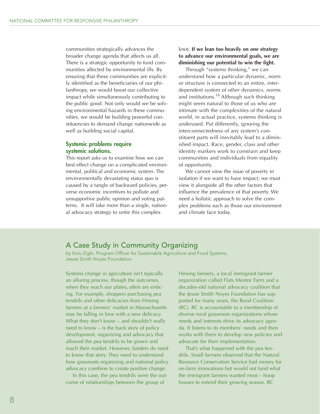communities strategically advances the broader change agenda that affects us all. There is a strategic opportunity to fund communities affected by environmental ills. By ensuring that these communities are explicitly identified as the beneficiaries of our philanthropy, we would boost our collective impact while simultaneously contributing to the public good. Not only would we be solving environmental hazards in these communities, we would be building powerful constituencies to demand change nationwide as well as building social capital.

#### **Systemic problems require systemic solutions.**

This report asks us to examine how we can best effect change on a complicated environmental, political and economic system. The environmentally devastating status quo is caused by a tangle of backward policies, perverse economic incentives to pollute and unsupportive public opinion and voting patterns. It will take more than a single, national advocacy strategy to untie this complex

#### knot. **If we lean too heavily on one strategy to advance our environmental goals, we are diminishing our potential to win the fight.**

Through "systems thinking," we can understand how a particular dynamic, norm or structure is connected to an entire, interdependent system of other dynamics, norms and institutions.<sup>18</sup> Although such thinking might seem natural to those of us who are intimate with the complexities of the natural world, in actual practice, systems thinking is underused. Put differently, ignoring the interconnectedness of any system's constituent parts will inevitably lead to a diminished impact. Race, gender, class and other identity markers work to constrain and keep communities and individuals from equality of opportunity.

We cannot view the issue of poverty in isolation if we want to have impact; we must view it alongside all the other factors that influence the prevalence of that poverty. We need a holistic approach to solve the complex problems such as those our environment and climate face today.

#### A Case Study in Community Organizing

by Kolu Zigbi, Program Officer for Sustainable Agriculture and Food Systems, Jessie Smith Noyes Foundation

Systems change in agriculture isn't typically an alluring process, though the outcomes, when they reach our plates, often are enticing. For example, shoppers purchasing pea tendrils and other delicacies from Hmong farmers at a farmers' market in Massachusetts may be falling in love with a new delicacy. What they don't know – and shouldn't really need to know – is the back story of policy development, organizing and advocacy that allowed the pea tendrils to be grown and reach their market. However, funders do need to know that story. They need to understand how grassroots organizing and national policy advocacy combine to create positive change.

In this case, the pea tendrils were the outcome of relationships between the group of

Hmong farmers, a local immigrant farmer organization called Flats Mentor Farm and a decades-old national advocacy coalition that the Jessie Smith Noyes Foundation has supported for many years, the Rural Coalition (RC). RC is accountable to a membership of diverse rural grassroots organizations whose needs and interests drive its advocacy agenda. It listens to its members' needs and then works with them to develop new policies and advocate for their implementation.

That's what happened with the pea tendrils. Small farmers observed that the Natural Resource Conservation Service had money for on-farm innovations but would not fund what the immigrant farmers wanted most – hoop houses to extend their growing season. RC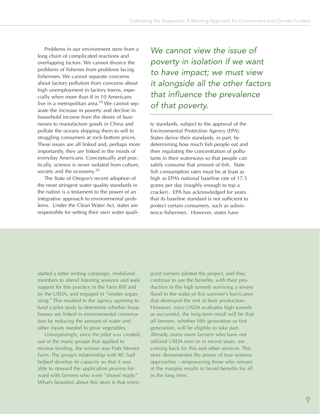Problems in our environment stem from a long chain of complicated reactions and overlapping factors. We cannot divorce the problems of fisheries from problems facing fishermen. We cannot separate concerns about factory pollution from concerns about high unemployment in factory towns, especially when more than 8 in 10 Americans live in a metropolitan area.<sup>19</sup> We cannot separate the increase in poverty and decline in household income from the desire of businesses to manufacture goods in China and pollute the oceans shipping them to sell to struggling consumers at rock-bottom prices. These issues are all linked and, perhaps more importantly, they are linked in the minds of everyday Americans. Conceptually and practically, science is never isolated from culture, society and the economy. $20$ 

The State of Oregon's recent adoption of the most stringent water quality standards in the nation is a testament to the power of an integrative approach to environmental problems. Under the Clean Water Act, states are responsible for setting their own water quali-

We cannot view the issue of poverty in isolation if we want to have impact; we must view it alongside all the other factors that influence the prevalence of that poverty.

ty standards, subject to the approval of the Environmental Protection Agency (EPA). States derive their standards, in part, by determining how much fish people eat and then regulating the concentration of pollutants in their waterways so that people can safely consume that amount of fish. State fish consumption rates must be at least as high as EPA's national baseline rate of 17.5 grams per day (roughly enough to top a cracker). EPA has acknowledged for years that its baseline standard is not sufficient to protect certain consumers, such as subsistence fishermen. However, states have

started a letter writing campaign, mobilized members to attend listening sessions and seek support for this practice in the Farm Bill and by the USDA, and engaged in "insider organizing." This resulted in the agency agreeing to fund a pilot study to determine whether hoop houses are linked to environmental conservation by reducing the amount of water and other inputs needed to grow vegetables.

Unsurprisingly, once the pilot was created, out of the many groups that applied to receive funding, the winner was Flats Mentor Farm. The group's relationship with RC had helped develop its capacity so that it was able to steward the application process forward with farmers who were "shovel ready." What's beautiful about this story is that immigrant farmers piloted the project, and they continue to see the benefits, with their production in the high tunnels surviving a severe flood in the wake of this summer's hurricanes that destroyed the rest of their production. However, once USDA evaluates high tunnels as successful, the long-term result will be that all farmers, whether fifth generation or first generation, will be eligible to take part. Already, many more farmers who have not utilized USDA ever or in recent years, are coming back for this and other services. This story demonstrates the power of true systems approaches – empowering those who remain at the margins results in broad benefits for all in the long term.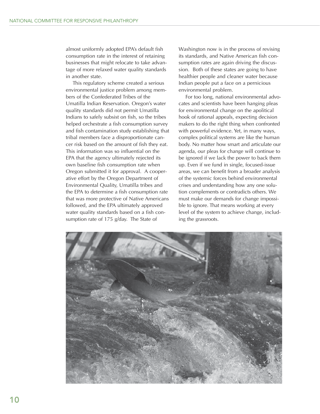almost uniformly adopted EPA's default fish consumption rate in the interest of retaining businesses that might relocate to take advantage of more relaxed water quality standards in another state.

This regulatory scheme created a serious environmental justice problem among members of the Confederated Tribes of the Umatilla Indian Reservation. Oregon's water quality standards did not permit Umatilla Indians to safely subsist on fish, so the tribes helped orchestrate a fish consumption survey and fish contamination study establishing that tribal members face a disproportionate cancer risk based on the amount of fish they eat. This information was so influential on the EPA that the agency ultimately rejected its own baseline fish consumption rate when Oregon submitted it for approval. A cooperative effort by the Oregon Department of Environmental Quality, Umatilla tribes and the EPA to determine a fish consumption rate that was more protective of Native Americans followed, and the EPA ultimately approved water quality standards based on a fish consumption rate of 175 g/day. The State of

Washington now is in the process of revising its standards, and Native American fish consumption rates are again driving the discussion. Both of these states are going to have healthier people and cleaner water because Indian people put a face on a pernicious environmental problem.

For too long, national environmental advocates and scientists have been hanging pleas for environmental change on the apolitical hook of rational appeals, expecting decision makers to do the right thing when confronted with powerful evidence. Yet, in many ways, complex political systems are like the human body. No matter how smart and articulate our agenda, our pleas for change will continue to be ignored if we lack the power to back them up. Even if we fund in single, focused-issue areas, we can benefit from a broader analysis of the systemic forces behind environmental crises and understanding how any one solution complements or contradicts others. We must make our demands for change impossible to ignore. That means working at every level of the system to achieve change, including the grassroots.

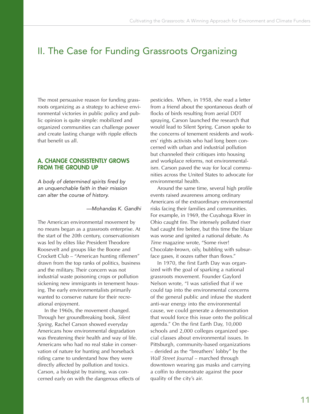# II. The Case for Funding Grassroots Organizing

The most persuasive reason for funding grassroots organizing as a strategy to achieve environmental victories in public policy and public opinion is quite simple: mobilized and organized communities can challenge power and create lasting change with ripple effects that benefit us all.

#### **A. CHANGE CONSISTENTLY GROWS FROM THE GROUND UP**

A body of determined spirits fired by an unquenchable faith in their mission can alter the course of history.

—Mohandas K. Gandhi

The American environmental movement by no means began as a grassroots enterprise. At the start of the 20th century, conservationism was led by elites like President Theodore Roosevelt and groups like the Boone and Crockett Club – "American hunting riflemen" drawn from the top ranks of politics, business and the military. Their concern was not industrial waste poisoning crops or pollution sickening new immigrants in tenement housing. The early environmentalists primarily wanted to conserve nature for their recreational enjoyment.

In the 1960s, the movement changed. Through her groundbreaking book, *Silent Spring*, Rachel Carson showed everyday Americans how environmental degradation was threatening their health and way of life. Americans who had no real stake in conservation of nature for hunting and horseback riding came to understand how they were directly affected by pollution and toxics. Carson, a biologist by training, was concerned early on with the dangerous effects of pesticides. When, in 1958, she read a letter from a friend about the spontaneous death of flocks of birds resulting from aerial DDT spraying, Carson launched the research that would lead to Silent Spring. Carson spoke to the concerns of tenement residents and workers' rights activists who had long been concerned with urban and industrial pollution but channeled their critiques into housing and workplace reforms, not environmentalism. Carson paved the way for local communities across the United States to advocate for environmental health.

Around the same time, several high profile events raised awareness among ordinary Americans of the extraordinary environmental risks facing their families and communities. For example, in 1969, the Cuyahoga River in Ohio caught fire. The intensely polluted river had caught fire before, but this time the blaze was worse and ignited a national debate. As *Time* magazine wrote, "Some river! Chocolate-brown, oily, bubbling with subsurface gases, it oozes rather than flows."

In 1970, the first Earth Day was organized with the goal of sparking a national grassroots movement. Founder Gaylord Nelson wrote, "I was satisfied that if we could tap into the environmental concerns of the general public and infuse the student anti-war energy into the environmental cause, we could generate a demonstration that would force this issue onto the political agenda." On the first Earth Day, 10,000 schools and 2,000 colleges organized special classes about environmental issues. In Pittsburgh, community-based organizations – derided as the "breathers' lobby" by the *Wall Street Journal* – marched through downtown wearing gas masks and carrying a coffin to demonstrate against the poor quality of the city's air.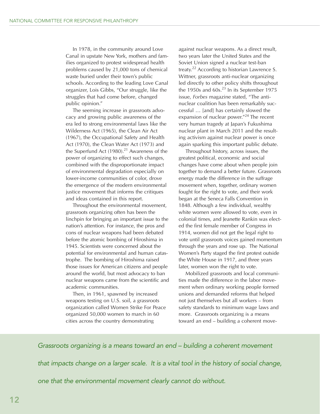In 1978, in the community around Love Canal in upstate New York, mothers and families organized to protest widespread health problems caused by 21,000 tons of chemical waste buried under their town's public schools. According to the leading Love Canal organizer, Lois Gibbs, "Our struggle, like the struggles that had come before, changed public opinion."

The seeming increase in grassroots advocacy and growing public awareness of the era led to strong environmental laws like the Wilderness Act (1965), the Clean Air Act (1967), the Occupational Safety and Health Act (1970), the Clean Water Act (1973) and the Superfund Act  $(1980).^{21}$  Awareness of the power of organizing to effect such changes, combined with the disproportionate impact of environmental degradation especially on lower-income communities of color, drove the emergence of the modern environmental justice movement that informs the critiques and ideas contained in this report.

Throughout the environmental movement, grassroots organizing often has been the linchpin for bringing an important issue to the nation's attention. For instance, the pros and cons of nuclear weapons had been debated before the atomic bombing of Hiroshima in 1945. Scientists were concerned about the potential for environmental and human catastrophe. The bombing of Hiroshima raised those issues for American citizens and people around the world, but most advocacy to ban nuclear weapons came from the scientific and academic communities.

Then, in 1961, spawned by increased weapons testing on U.S. soil, a grassroots organization called Women Strike For Peace organized 50,000 women to march in 60 cities across the country demonstrating

against nuclear weapons. As a direct result, two years later the United States and the Soviet Union signed a nuclear test-ban treaty.<sup>22</sup> According to historian Lawrence S. Wittner, grassroots anti-nuclear organizing led directly to other policy shifts throughout the 1950s and  $60s<sup>23</sup>$  In its September 1975 issue, *Forbes* magazine stated, "The antinuclear coalition has been remarkably successful … [and] has certainly slowed the expansion of nuclear power."24 The recent very human tragedy at Japan's Fukushima nuclear plant in March 2011 and the resulting activism against nuclear power is once again sparking this important public debate.

Throughout history, across issues, the greatest political, economic and social changes have come about when people join together to demand a better future. Grassroots energy made the difference in the suffrage movement when, together, ordinary women fought for the right to vote, and their work began at the Seneca Falls Convention in 1848. Although a few individual, wealthy white women were allowed to vote, even in colonial times, and Jeanette Rankin was elected the first female member of Congress in 1914, women did not get the legal right to vote until grassroots voices gained momentum through the years and rose up. The National Women's Party staged the first protest outside the White House in 1917, and three years later, women won the right to vote.

Mobilized grassroots and local communities made the difference in the labor movement when ordinary working people formed unions and demanded reforms that helped not just themselves but all workers – from safety standards to minimum wage laws and more. Grassroots organizing is a means toward an end – building a coherent move-

#### Grassroots organizing is a means toward an end – building a coherent movement

that impacts change on a larger scale. It is a vital tool in the history of social change,

one that the environmental movement clearly cannot do without.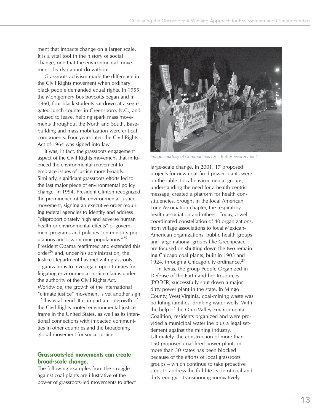ment that impacts change on a larger scale. It is a vital tool in the history of social change, one that the environmental movement clearly cannot do without.

Grassroots activism made the difference in the Civil Rights movement when ordinary black people demanded equal rights. In 1955, the Montgomery bus boycotts began and in 1960, four black students sat down at a segregated lunch counter in Greensboro, N.C., and refused to leave, helping spark mass movements throughout the North and South. Basebuilding and mass mobilization were critical components. Four years later, the Civil Rights Act of 1964 was signed into law.

It was, in fact, the grassroots engagement aspect of the Civil Rights movement that influenced the environmental movement to embrace issues of justice more broadly. Similarly, significant grassroots efforts led to the last major piece of environmental policy change. In 1994, President Clinton recognized the prominence of the environmental justice movement, signing an executive order requiring federal agencies to identify and address "disproportionately high and adverse human health or environmental effects" of government programs and policies "on minority populations and low-income populations."25 President Obama reaffirmed and extended this order<sup>26</sup> and, under his administration, the Justice Department has met with grassroots organizations to investigate opportunities for litigating environmental justice claims under the authority of the Civil Rights Act. Worldwide, the growth of the international "climate justice" movement is yet another sign of this vital trend. It is in part an outgrowth of the Civil Rights-rooted environmental justice frame in the United States, as well as its intentional connections with impacted communities in other countries and the broadening global movement for social justice.

#### **Grassroots-led movements can create broad-scale change.**

The following examples from the struggle against coal plants are illustrative of the power of grassroots-led movements to affect



Image courtesy of Communities for a Better Environment.

large-scale change. In 2001, 17 proposed projects for new coal-fired power plants were on the table. Local environmental groups, understanding the need for a health-centric message, created a platform for health constituencies, brought in the local American Lung Association chapter, the respiratory health association and others. Today, a wellcoordinated constellation of 40 organizations, from village associations to local Mexican-American organizations, public health groups and large national groups like Greenpeace, are focused on shutting down the two remaining Chicago coal plants, built in 1903 and 1924, through a Chicago city ordinance.<sup>27</sup>

In Texas, the group People Organized in Defense of the Earth and her Resources (PODER) successfully shut down a major dirty power plant in the state. In Mingo County, West Virginia, coal-mining waste was polluting families' drinking water wells. With the help of the Ohio Valley Environmental Coalition, residents organized and were provided a municipal waterline plus a legal settlement against the mining industry. Ultimately, the construction of more than 150 proposed coal-fired power plants in more than 30 states has been blocked because of the efforts of local grassroots groups – which continue to take proactive steps to address the full life cycle of coal and dirty energy – transitioning innovatively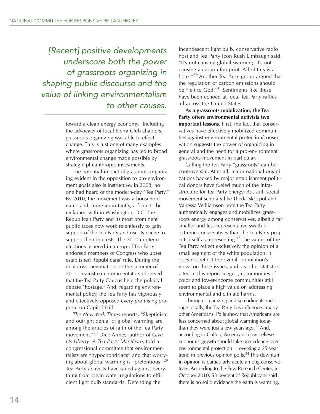[Recent] positive developments underscore both the power of grassroots organizing in shaping public discourse and the value of linking environmentalism to other causes.

> toward a clean energy economy. Including the advocacy of local Sierra Club chapters, grassroots organizing was able to effect change. This is just one of many examples where grassroots organizing has led to broad environmental change made possible by strategic philanthropic investments.

The potential impact of grassroots organizing evident in the opposition to pro-environment goals also is instructive. In 2008, no one had heard of the modern-day "Tea Party." By 2010, the movement was a household name and, more importantly, a force to be reckoned with in Washington, D.C. The Republican Party and its most prominent public faces now work relentlessly to gain support of the Tea Party and use its cache to support their interests. The 2010 midterm elections ushered in a crop of Tea Partyendorsed members of Congress who upset established Republicans' rule. During the debt crisis negotiations in the summer of 2011, mainstream commentators observed that the Tea Party Caucus held the political debate "hostage." And, regarding environmental policy, the Tea Party has vigorously and effectively opposed every promising proposal on Capitol Hill.

*The New York Times* reports, "Skepticism and outright denial of global warming are among the articles of faith of the Tea Party movement."<sup>28</sup> Dick Armey, author of *Give Us Liberty: A Tea Party Manifesto*, told a congressional committee that environmentalists are "hypochondriacs" and that worrying about global warming is "pretentious."<sup>29</sup> Tea Party activists have railed against everything from clean water regulations to efficient light bulb standards. Defending the

incandescent light bulb, conservative radio host and Tea Party icon Rush Limbaugh said, "It's not causing global warming; it's not causing a carbon footprint. All of this is a hoax."<sup>30</sup> Another Tea Party group argued that the regulation of carbon emissions should be "left to God."<sup>31</sup> Sentiments like these have been echoed at local Tea Party rallies all across the United States.

**As a grassroots mobilization, the Tea Party offers environmental activists two important lessons.** First, the fact that conservatives have effectively mobilized communities against environmental protection/conservation suggests the power of organizing in general and the need for a pro-environment grassroots movement in particular.

Calling the Tea Party "grassroots" can be controversial. After all, major national organizations backed by major establishment political donors have fueled much of the infrastructure for Tea Party energy. But still, social movement scholars like Theda Skocpol and Vanessa Williamson note the Tea Party authentically engages and mobilizes grassroots energy among conservatives, albeit a far smaller and less representative swath of extreme conservatives than the Tea Party projects itself as representing.<sup>32</sup> The values of the Tea Party reflect exclusively the opinion of a small segment of the white population. It does not reflect the overall population's views on these issues, and, as other statistics cited in this report suggest, communities of color and lower-income communities still seem to place a high value on addressing environmental and climate harms.

Through organizing and spreading its message locally, the Tea Party has influenced many other Americans. Polls show that Americans are less concerned about global warming today than they were just a few years ago. $33$  And, according to Gallup, Americans now believe economic growth should take precedence over environmental protection – reversing a 25-year trend in previous opinion polls.<sup>34</sup> This downturn in opinion is particularly acute among conservatives. According to the Pew Research Center, in October 2010, 53 percent of Republicans said there is no solid evidence the earth is warming,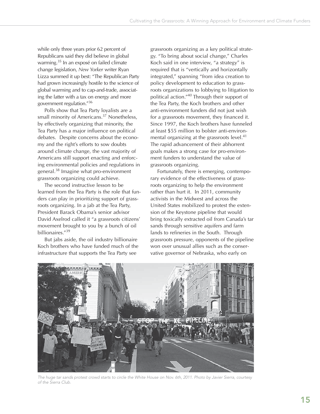while only three years prior 62 percent of Republicans said they did believe in global warming.35 In an exposé on failed climate change legislation, *New Yorker* writer Ryan Lizza summed it up best: "The Republican Party had grown increasingly hostile to the science of global warming and to cap-and-trade, associating the latter with a tax on energy and more government regulation."36

Polls show that Tea Party loyalists are a small minority of Americans.<sup>37</sup> Nonetheless, by effectively organizing that minority, the Tea Party has a major influence on political debates. Despite concerns about the economy and the right's efforts to sow doubts around climate change, the vast majority of Americans still support enacting and enforcing environmental policies and regulations in general.38 Imagine what pro-environment grassroots organizing could achieve.

The second instructive lesson to be learned from the Tea Party is the role that funders can play in prioritizing support of grassroots organizing. In a jab at the Tea Party, President Barack Obama's senior advisor David Axelrod called it "a grassroots citizens' movement brought to you by a bunch of oil billionaires."39

But jabs aside, the oil industry billionaire Koch brothers who have funded much of the infrastructure that supports the Tea Party see

grassroots organizing as a key political strategy. "To bring about social change," Charles Koch said in one interview, "a strategy" is required that is "vertically and horizontally integrated," spanning "from idea creation to policy development to education to grassroots organizations to lobbying to litigation to political action."40 Through their support of the Tea Party, the Koch brothers and other anti-environment funders did not just wish for a grassroots movement, they financed it. Since 1997, the Koch brothers have funneled at least \$55 million to bolster anti-environmental organizing at the grassroots level.<sup>41</sup> The rapid advancement of their abhorrent goals makes a strong case for pro-environment funders to understand the value of grassroots organizing.

Fortunately, there is emerging, contemporary evidence of the effectiveness of grassroots organizing to help the environment rather than hurt it. In 2011, community activists in the Midwest and across the United States mobilized to protest the extension of the Keystone pipeline that would bring toxically extracted oil from Canada's tar sands through sensitive aquifers and farm lands to refineries in the South. Through grassroots pressure, opponents of the pipeline won over unusual allies such as the conservative governor of Nebraska, who early on



The huge tar sands protest crowd starts to circle the White House on Nov. 6th, 2011. Photo by Javier Sierra, courtesy of the Sierra Club.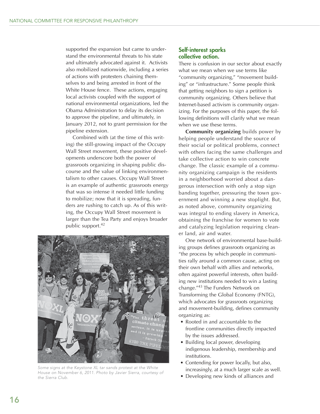supported the expansion but came to understand the environmental threats to his state and ultimately advocated against it. Activists also mobilized nationwide, including a series of actions with protesters chaining themselves to and being arrested in front of the White House fence. These actions, engaging local activists coupled with the support of national environmental organizations, led the Obama Administration to delay its decision to approve the pipeline, and ultimately, in January 2012, not to grant permission for the pipeline extension.

Combined with (at the time of this writing) the still-growing impact of the Occupy Wall Street movement, these positive developments underscore both the power of grassroots organizing in shaping public discourse and the value of linking environmentalism to other causes. Occupy Wall Street is an example of authentic grassroots energy that was so intense it needed little funding to mobilize; now that it is spreading, funders are rushing to catch up. As of this writing, the Occupy Wall Street movement is larger than the Tea Party and enjoys broader public support.<sup>42</sup>



Some signs at the Keystone XL tar sands protest at the White House on November 6, 2011. Photo by Javier Sierra, courtesy of the Sierra Club.

#### **Self-interest sparks collective action.**

There is confusion in our sector about exactly what we mean when we use terms like "community organizing," "movement building" or "infrastructure." Some people think that getting neighbors to sign a petition is community organizing. Others believe that Internet-based activism is community organizing. For the purposes of this paper, the following definitions will clarify what we mean when we use these terms.

**Community organizing** builds power by helping people understand the source of their social or political problems, connect with others facing the same challenges and take collective action to win concrete change. The classic example of a community organizing campaign is the residents in a neighborhood worried about a dangerous intersection with only a stop sign banding together, pressuring the town government and winning a new stoplight. But, as noted above, community organizing was integral to ending slavery in America, obtaining the franchise for women to vote and catalyzing legislation requiring cleaner land, air and water.

One network of environmental base-building groups defines grassroots organizing as "the process by which people in communities rally around a common cause, acting on their own behalf with allies and networks, often against powerful interests, often building new institutions needed to win a lasting change."43 The Funders Network on Transforming the Global Economy (FNTG), which advocates for grassroots organizing and movement-building, defines community organizing as:

- Rooted in and accountable to the frontline communities directly impacted by the issues addressed.
- Building local power, developing indigenous leadership, membership and institutions.
- Contending for power locally, but also, increasingly, at a much larger scale as well.
- Developing new kinds of alliances and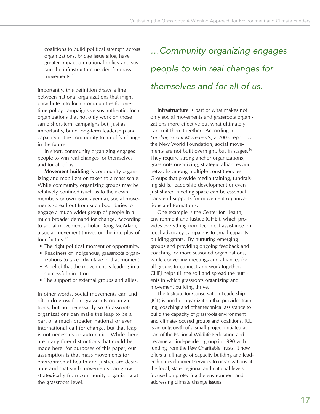coalitions to build political strength across organizations, bridge issue silos, have greater impact on national policy and sustain the infrastructure needed for mass movements<sup>44</sup>

Importantly, this definition draws a line between national organizations that might parachute into local communities for onetime policy campaigns versus authentic, local organizations that not only work on those same short-term campaigns but, just as importantly, build long-term leadership and capacity in the community to amplify change in the future.

In short, community organizing engages people to win real changes for themselves and for all of us.

**Movement building** is community organizing and mobilization taken to a mass scale. While community organizing groups may be relatively confined (such as to their own members or own issue agenda), social movements spread out from such boundaries to engage a much wider group of people in a much broader demand for change. According to social movement scholar Doug McAdam, a social movement thrives on the interplay of four factors:<sup>45</sup>

- The right political moment or opportunity.
- Readiness of indigenous, grassroots organizations to take advantage of that moment.
- A belief that the movement is leading in a successful direction.
- The support of external groups and allies.

In other words, social movements can and often do grow from grassroots organizations, but not necessarily so. Grassroots organizations can make the leap to be a part of a much broader, national or even international call for change, but that leap is not necessary or automatic. While there are many finer distinctions that could be made here, for purposes of this paper, our assumption is that mass movements for environmental health and justice are desirable and that such movements can grow strategically from community organizing at the grassroots level.

…Community organizing engages people to win real changes for themselves and for all of us.

**Infrastructure** is part of what makes not only social movements and grassroots organizations more effective but what ultimately can knit them together. According to *Funding Social Movements*, a 2003 report by the New World Foundation, social movements are not built overnight, but in stages.<sup>46</sup> They require strong anchor organizations, grassroots organizing, strategic alliances and networks among multiple constituencies. Groups that provide media training, fundraising skills, leadership development or even just shared meeting space can be essential back-end supports for movement organizations and formations.

One example is the Center for Health, Environment and Justice (CHEJ), which provides everything from technical assistance on local advocacy campaigns to small capacity building grants. By nurturing emerging groups and providing ongoing feedback and coaching for more seasoned organizations, while convening meetings and alliances for all groups to connect and work together, CHEJ helps till the soil and spread the nutrients in which grassroots organizing and movement building thrive.

The Institute for Conservation Leadership (ICL) is another organization that provides training, coaching and other technical assistance to build the capacity of grassroots environment and climate-focused groups and coalitions. ICL is an outgrowth of a small project initiated as part of the National Wildlife Federation and became an independent group in 1990 with funding from the Pew Charitable Trusts. It now offers a full range of capacity building and leadership development services to organizations at the local, state, regional and national levels focused on protecting the environment and addressing climate change issues.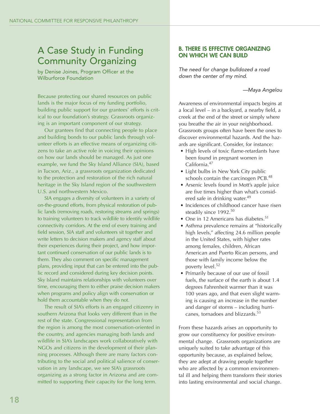# A Case Study in Funding Community Organizing

by Denise Joines, Program Officer at the Wilburforce Foundation

Because protecting our shared resources on public lands is the major focus of my funding portfolio, building public support for our grantees' efforts is critical to our foundation's strategy. Grassroots organizing is an important component of our strategy.

Our grantees find that connecting people to place and building bonds to our public lands through volunteer efforts is an effective means of organizing citizens to take an active role in voicing their opinions on how our lands should be managed. As just one example, we fund the Sky Island Alliance (SIA), based in Tucson, Ariz., a grassroots organization dedicated to the protection and restoration of the rich natural heritage in the Sky Island region of the southwestern U.S. and northwestern Mexico.

SIA engages a diversity of volunteers in a variety of on-the-ground efforts, from physical restoration of public lands (removing roads, restoring streams and springs) to training volunteers to track wildlife to identify wildlife connectivity corridors. At the end of every training and field session, SIA staff and volunteers sit together and write letters to decision makers and agency staff about their experiences during their project, and how important continued conservation of our public lands is to them. They also comment on specific management plans, providing input that can be entered into the public record and considered during key decision points. Sky Island maintains relationships with volunteers over time, encouraging them to either praise decision makers when programs and policy align with conservation or hold them accountable when they do not.

The result of SIA's efforts is an engaged citizenry in southern Arizona that looks very different than in the rest of the state. Congressional representation from the region is among the most conservation-oriented in the country, and agencies managing both lands and wildlife in SIA's landscapes work collaboratively with NGOs and citizens in the development of their planning processes. Although there are many factors contributing to the social and political salience of conservation in any landscape, we see SIA's grassroots organizing as a strong factor in Arizona and are committed to supporting their capacity for the long term.

#### **B. THERE IS EFFECTIVE ORGANIZING ON WHICH WE CAN BUILD**

The need for change bulldozed a road down the center of my mind.

—Maya Angelou

Awareness of environmental impacts begins at a local level – in a backyard, a nearby field, a creek at the end of the street or simply where you breathe the air in your neighborhood. Grassroots groups often have been the ones to discover environmental hazards. And the hazards are significant. Consider, for instance:

- High levels of toxic flame-retardants have been found in pregnant women in California.47
- Light bulbs in New York City public schools contain the carcinogen PCB.<sup>48</sup>
- Arsenic levels found in Mott's apple juice are five times higher than what's considered safe in drinking water.<sup>49</sup>
- Incidences of childhood cancer have risen steadily since 1992.<sup>50</sup>
- One in 12 Americans has diabetes.<sup>51</sup>
- Asthma prevalence remains at "historically high levels," affecting 24.6 million people in the United States, with higher rates among females, children, African American and Puerto Rican persons, and those with family income below the poverty level.<sup>52</sup>
- Primarily because of our use of fossil fuels, the surface of the earth is about 1.4 degrees Fahrenheit warmer than it was 100 years ago, and that even slight warming is causing an increase in the number and danger of storms – including hurricanes, tornadoes and blizzards.53

From these hazards arises an opportunity to grow our constituency for positive environmental change. Grassroots organizations are uniquely suited to take advantage of this opportunity because, as explained below, they are adept at drawing people together who are affected by a common environmental ill and helping them transform their stories into lasting environmental and social change.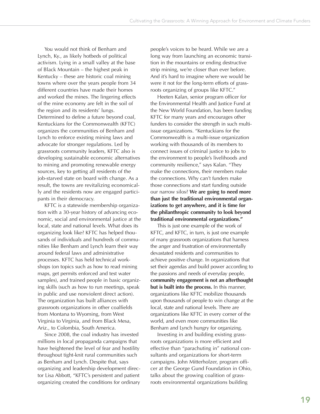You would not think of Benham and Lynch, Ky., as likely hotbeds of political activism. Lying in a small valley at the base of Black Mountain – the highest peak in Kentucky – these are historic coal mining towns where over the years people from 34 different countries have made their homes and worked the mines. The lingering effects of the mine economy are felt in the soil of the region and its residents' lungs. Determined to define a future beyond coal, Kentuckians for the Commonwealth (KFTC) organizes the communities of Benham and Lynch to enforce existing mining laws and advocate for stronger regulations. Led by grassroots community leaders, KFTC also is developing sustainable economic alternatives to mining and promoting renewable energy sources, key to getting all residents of the job-starved state on board with change. As a result, the towns are revitalizing economically and the residents now are engaged participants in their democracy.

KFTC is a statewide membership organization with a 30-year history of advancing economic, social and environmental justice at the local, state and national levels. What does its organizing look like? KFTC has helped thousands of individuals and hundreds of communities like Benham and Lynch learn their way around federal laws and administrative processes. KFTC has held technical workshops (on topics such as how to read mining maps, get permits enforced and test water samples), and trained people in basic organizing skills (such as how to run meetings, speak in public and use nonviolent direct action). The organization has built alliances with grassroots organizations in other coalfields from Montana to Wyoming, from West Virginia to Virginia, and from Black Mesa, Ariz., to Colombia, South America.

Since 2008, the coal industry has invested millions in local propaganda campaigns that have heightened the level of fear and hostility throughout tight-knit rural communities such as Benham and Lynch. Despite that, says organizing and leadership development director Lisa Abbott, "KFTC's persistent and patient organizing created the conditions for ordinary people's voices to be heard. While we are a long way from launching an economic transition in the mountains or ending destructive strip mining, we're closer than ever before. And it's hard to imagine where we would be were it not for the long-term efforts of grassroots organizing of groups like KFTC."

Heeten Kalan, senior program officer for the Environmental Health and Justice Fund at the New World Foundation, has been funding KFTC for many years and encourages other funders to consider the strength in such multiissue organizations. "Kentuckians for the Commonwealth is a multi-issue organization working with thousands of its members to connect issues of criminal justice to jobs to the environment to people's livelihoods and community resilience," says Kalan. "They make the connections, their members make the connections. Why can't funders make those connections and start funding outside our narrow silos? **We are going to need more than just the traditional environmental organizations to get anywhere, and it is time for the philanthropic community to look beyond traditional environmental organizations."**

This is just one example of the work of KFTC, and KFTC, in turn, is just one example of many grassroots organizations that harness the anger and frustration of environmentally devastated residents and communities to achieve positive change. In organizations that set their agendas and build power according to the passions and needs of everyday people, **community engagement is not an afterthought but is built into the process.** In this manner, organizations like KFTC mobilize thousands upon thousands of people to win change at the local, state and national levels. There are organizations like KFTC in every corner of the world, and even more communities like Benham and Lynch hungry for organizing.

Investing in and building existing grassroots organizations is more efficient and effective than "parachuting in" national consultants and organizations for short-term campaigns. John Mitterholzer, program officer at the George Gund Foundation in Ohio, talks about the growing coalition of grassroots environmental organizations building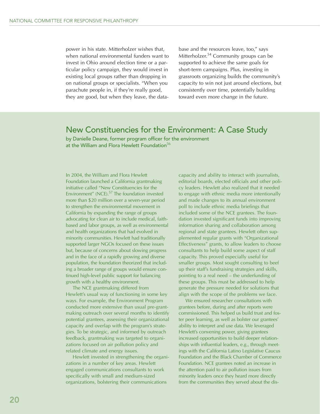power in his state. Mitterholzer wishes that, when national environmental funders want to invest in Ohio around election time or a particular policy campaign, they would invest in existing local groups rather than dropping in on national groups or specialists. "When you parachute people in, if they're really good, they are good, but when they leave, the database and the resources leave, too," says Mitterholzer.54 Community groups can be supported to achieve the same goals for short-term campaigns. Plus, investing in grassroots organizing builds the community's capacity to win not just around elections, but consistently over time, potentially building toward even more change in the future.

### New Constituencies for the Environment: A Case Study

by Danielle Deane, former program officer for the environment at the William and Flora Hewlett Foundation $56$ 

In 2004, the William and Flora Hewlett Foundation launched a California grantmaking initiative called "New Constituencies for the Environment" (NCE).<sup>57</sup> The foundation invested more than \$20 million over a seven-year period to strengthen the environmental movement in California by expanding the range of groups advocating for clean air to include medical, faithbased and labor groups, as well as environmental and health organizations that had evolved in minority communities. Hewlett had traditionally supported larger NGOs focused on these issues but, because of concerns about slowing progress and in the face of a rapidly growing and diverse population, the foundation theorized that including a broader range of groups would ensure continued high-level public support for balancing growth with a healthy environment.

The NCE grantmaking differed from Hewlett's usual way of functioning in some key ways. For example, the Environment Program conducted more extensive than usual pre-grantmaking outreach over several months to identify potential grantees, assessing their organizational capacity and overlap with the program's strategies. To be strategic, and informed by outreach feedback, grantmaking was targeted to organizations focused on air pollution policy and related climate and energy issues.

Hewlett invested in strengthening the organizations in a number of key areas. Hewlett engaged communications consultants to work specifically with small and medium-sized organizations, bolstering their communications

capacity and ability to interact with journalists, editorial boards, elected officials and other policy leaders. Hewlett also realized that it needed to engage with ethnic media more intentionally and made changes to its annual environment poll to include ethnic media briefings that included some of the NCE grantees. The foundation invested significant funds into improving information sharing and collaboration among regional and state grantees. Hewlett often supplemented regular grants with "Organizational Effectiveness" grants, to allow leaders to choose consultants to help build some aspect of staff capacity. This proved especially useful for smaller groups. Most sought consulting to beef up their staff's fundraising strategies and skills, pointing to a real need – the underfunding of these groups. This must be addressed to help generate the pressure needed for solutions that align with the scope of the problems we face.

We ensured researcher consultations with grantees before, during and after reports were commissioned. This helped us build trust and foster peer learning, as well as bolster our grantees' ability to interpret and use data. We leveraged Hewlett's convening power, giving grantees increased opportunities to build deeper relationships with influential leaders, e.g., through meetings with the California Latino Legislative Caucus Foundation and the Black Chamber of Commerce Foundation. NCE grantees noted an increase in the attention paid to air pollution issues from minority leaders once they heard more directly from the communities they served about the dis-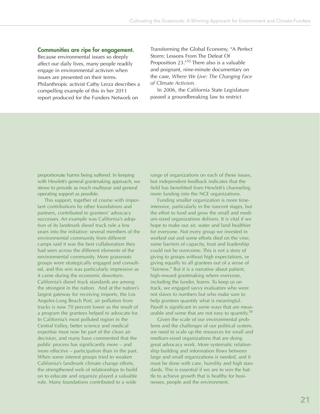#### **Communities are ripe for engagement.**

Because environmental issues so deeply affect our daily lives, many people readily engage in environmental activism when issues are presented on their terms. Philanthropic activist Cathy Lerza describes a compelling example of this in her 2011 report produced for the Funders Network on

Transforming the Global Economy, "A Perfect Storm: Lessons From The Defeat Of Proposition 23."55 There also is a valuable and poignant, nine-minute documentary on the case, *Where We Live: The Changing Face of Climate Activism*.

In 2006, the California State Legislature passed a groundbreaking law to restrict

proportionate harms being suffered. In keeping with Hewlett's general grantmaking approach, we strove to provide as much multiyear and general operating support as possible.

This support, together of course with important contributions by other foundations and partners, contributed to grantees' advocacy successes. An example was California's adoption of its landmark diesel truck rule a few years into the initiative: several members of the environmental community from different camps said it was the best collaboration they had seen across the different elements of the environmental community. More grassroots groups were strategically engaged and consulted, and this win was particularly impressive as it came during the economic downturn. California's diesel truck standards are among the strongest in the nation. And at the nation's largest gateway for receiving imports, the Los Angeles-Long Beach Port, air pollution from trucks is now 70 percent lower as the result of a program the grantees helped to advocate for. In California's most polluted region in the Central Valley, better science and medical expertise must now be part of the clean air decision, and many have commented that the public process has significantly more – and more effective – participation than in the past. When some interest groups tried to weaken California's landmark climate change efforts, the strengthened web of relationships to build on to educate and organize played a valuable role. Many foundations contributed to a wide

range of organizations on each of these issues, but independent feedback indicates that the field has benefitted from Hewlett's channeling more funding into the NCE organizations.

Funding smaller organization is more timeintensive, particularly in the nascent stages, but the effort to fund and grow the small and medium-sized organizations delivers. It is vital if we hope to make our air, water and land healthier for everyone. Not every group we invested in worked out and some efforts died on the vine; some barriers of capacity, trust and leadership could not be overcome. This is not a story of giving to groups without high expectations, or giving equally to all grantees out of a sense of "fairness." But it is a narrative about patient, high-reward grantmaking where everyone, including the funder, learns. To keep us on track, we engaged savvy evaluators who were not slaves to numbers but who make sure to help grantees quantify what is meaningful. Payoff is significant in some ways that are measurable and some that are not easy to quantify.<sup>58</sup>

Given the scale of our environmental problems and the challenges of our political system, we need to scale up the resources for small and medium-sized organizations that are doing great advocacy work. More systematic relationship building and information flows between large and small organizations is needed, and it must be done with care, humility and high standards. This is essential if we are to win the battle to achieve growth that is healthy for businesses, people and the environment.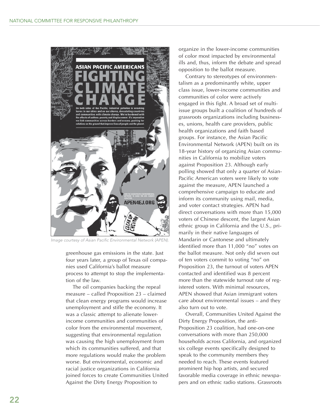

Image courtesy of Asian Pacific Environmental Network (APEN).

greenhouse gas emissions in the state. Just four years later, a group of Texas oil companies used California's ballot measure process to attempt to stop the implementation of the law.

The oil companies backing the repeal measure – called Proposition 23 – claimed that clean energy programs would increase unemployment and stifle the economy. It was a classic attempt to alienate lowerincome communities and communities of color from the environmental movement, suggesting that environmental regulation was causing the high unemployment from which its communities suffered, and that more regulations would make the problem worse. But environmental, economic and racial justice organizations in California joined forces to create Communities United Against the Dirty Energy Proposition to

organize in the lower-income communities of color most impacted by environmental ills and, thus, inform the debate and spread opposition to the ballot measure.

Contrary to stereotypes of environmentalism as a predominantly white, upper class issue, lower-income communities and communities of color were actively engaged in this fight. A broad set of multiissue groups built a coalition of hundreds of grassroots organizations including businesses, unions, health care providers, public health organizations and faith based groups. For instance, the Asian Pacific Environmental Network (APEN) built on its 18-year history of organizing Asian communities in California to mobilize voters against Proposition 23. Although early polling showed that only a quarter of Asian-Pacific American voters were likely to vote against the measure, APEN launched a comprehensive campaign to educate and inform its community using mail, media, and voter contact strategies. APEN had direct conversations with more than 15,000 voters of Chinese descent, the largest Asian ethnic group in California and the U.S., primarily in their native languages of Mandarin or Cantonese and ultimately identified more than 11,000 "no" votes on the ballot measure. Not only did seven out of ten voters commit to voting "no" on Proposition 23, the turnout of voters APEN contacted and identified was 8 percent more than the statewide turnout rate of registered voters. With minimal resources, APEN showed that Asian immigrant voters care about environmental issues – and they also turn out to vote.

Overall, Communities United Against the Dirty Energy Proposition, the anti-Proposition 23 coalition, had one-on-one conversations with more than 250,000 households across California, and organized six college events specifically designed to speak to the community members they needed to reach. These events featured prominent hip hop artists, and secured favorable media coverage in ethnic newspapers and on ethnic radio stations. Grassroots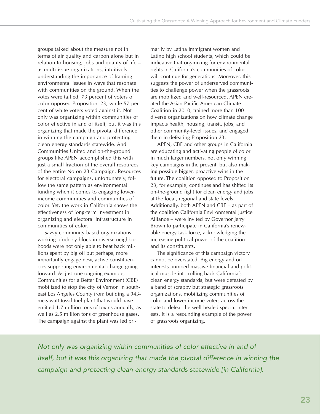groups talked about the measure not in terms of air quality and carbon alone but in relation to housing, jobs and quality of life – as multi-issue organizations, intuitively understanding the importance of framing environmental issues in ways that resonate with communities on the ground. When the votes were tallied, 73 percent of voters of color opposed Proposition 23, while 57 percent of white voters voted against it. Not only was organizing within communities of color effective in and of itself, but it was this organizing that made the pivotal difference in winning the campaign and protecting clean energy standards statewide. And Communities United and on-the-ground groups like APEN accomplished this with just a small fraction of the overall resources of the entire No on 23 Campaign. Resources for electoral campaigns, unfortunately, follow the same pattern as environmental funding when it comes to engaging lowerincome communities and communities of color. Yet, the work in California shows the effectiveness of long-term investment in organizing and electoral infrastructure in communities of color.

Savvy community-based organizations working block-by-block in diverse neighborhoods were not only able to beat back millions spent by big oil but perhaps, more importantly engage new, active constituencies supporting environmental change going forward. As just one ongoing example, Communities for a Better Environment (CBE) mobilized to stop the city of Vernon in southeast Los Angeles County from building a 943 megawatt fossil fuel plant that would have emitted 1.7 million tons of toxins annually, as well as 2.5 million tons of greenhouse gases. The campaign against the plant was led primarily by Latina immigrant women and Latino high school students, which could be indicative that organizing for environmental rights in California's communities of color will continue for generations. Moreover, this suggests the power of underserved communities to challenge power when the grassroots are mobilized and well-resourced. APEN created the Asian Pacific American Climate Coalition in 2010, trained more than 100 diverse organizations on how climate change impacts health, housing, transit, jobs, and other community-level issues, and engaged them in defeating Proposition 23.

APEN, CBE and other groups in California are educating and activating people of color in much larger numbers, not only winning key campaigns in the present, but also making possible bigger, proactive wins in the future. The coalition opposed to Proposition 23, for example, continues and has shifted its on-the-ground fight for clean energy and jobs at the local, regional and state levels. Additionally, both APEN and CBE – as part of the coalition California Environmental Justice Alliance – were invited by Governor Jerry Brown to participate in California's renewable energy task force, acknowledging the increasing political power of the coalition and its constituents.

The significance of this campaign victory cannot be overstated. Big energy and oil interests pumped massive financial and political muscle into rolling back California's clean energy standards, but were defeated by a band of scrappy but strategic grassroots organizations, mobilizing communities of color and lower-income voters across the state to defeat the well-healed special interests. It is a resounding example of the power of grassroots organizing.

Not only was organizing within communities of color effective in and of itself, but it was this organizing that made the pivotal difference in winning the campaign and protecting clean energy standards statewide [in California].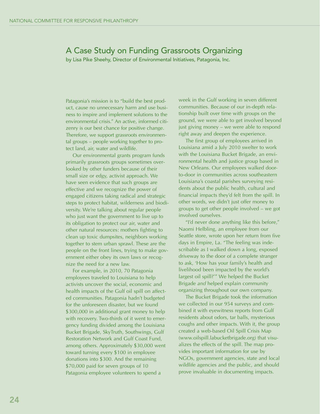### A Case Study on Funding Grassroots Organizing

by Lisa Pike Sheehy, Director of Environmental Initiatives, Patagonia, Inc.

Patagonia's mission is to "build the best product, cause no unnecessary harm and use business to inspire and implement solutions to the environmental crisis." An active, informed citizenry is our best chance for positive change. Therefore, we support grassroots environmental groups – people working together to protect land, air, water and wildlife.

Our environmental grants program funds primarily grassroots groups sometimes overlooked by other funders because of their small size or edgy, activist approach. We have seen evidence that such groups are effective and we recognize the power of engaged citizens taking radical and strategic steps to protect habitat, wilderness and biodiversity. We're talking about regular people who just want the government to live up to its obligation to protect our air, water and other natural resources: mothers fighting to clean up toxic dumpsites, neighbors working together to stem urban sprawl. These are the people on the front lines, trying to make government either obey its own laws or recognize the need for a new law.

For example, in 2010, 70 Patagonia employees traveled to Louisiana to help activists uncover the social, economic and health impacts of the Gulf oil spill on affected communities. Patagonia hadn't budgeted for the unforeseen disaster, but we found \$300,000 in additional grant money to help with recovery. Two-thirds of it went to emergency funding divided among the Louisiana Bucket Brigade, SkyTruth, Southwings, Gulf Restoration Network and Gulf Coast Fund, among others. Approximately \$30,000 went toward turning every \$100 in employee donations into \$300. And the remaining \$70,000 paid for seven groups of 10 Patagonia employee volunteers to spend a

week in the Gulf working in seven different communities. Because of our in-depth relationship built over time with groups on the ground, we were able to get involved beyond just giving money – we were able to respond right away and deepen the experience.

The first group of employees arrived in Louisiana amid a July 2010 swelter to work with the Louisiana Bucket Brigade, an environmental health and justice group based in New Orleans. Our employees walked doorto-door in communities across southeastern Louisiana's coastal parishes surveying residents about the public health, cultural and financial impacts they'd felt from the spill. In other words, we didn't just offer money to groups to get other people involved – we got involved ourselves.

"I'd never done anything like this before," Naomi Helbling, an employee from our Seattle store, wrote upon her return from five days in Empire, La. "The feeling was indescribable as I walked down a long, exposed driveway to the door of a complete stranger to ask, 'How has your family's health and livelihood been impacted by the world's largest oil spill?'" We helped the Bucket Brigade *and* helped explain community organizing throughout our own company.

The Bucket Brigade took the information we collected in our 954 surveys and combined it with eyewitness reports from Gulf residents about odors, tar balls, mysterious coughs and other impacts. With it, the group created a web-based Oil Spill Crisis Map (www.oilspill.labucketbrigade.org) that visualizes the effects of the spill. The map provides important information for use by NGOs, government agencies, state and local wildlife agencies and the public, and should prove invaluable in documenting impacts.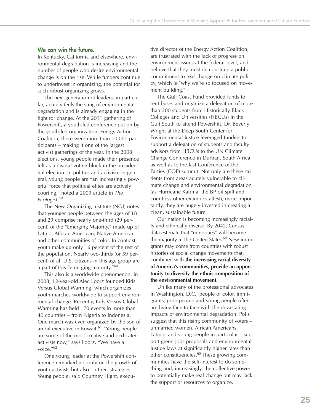#### **We can win the future.**

In Kentucky, California and elsewhere, environmental degradation is increasing and the number of people who desire environmental change is on the rise. While funders continue to underinvest in organizing, the potential for such robust organizing grows.

The next generation of leaders, in particular, acutely feels the sting of environmental degradation and is already engaging in the fight for change. At the 2011 gathering of Powershift, a youth-led conference put on by the youth-led organization, Energy Action Coalition, there were more than 10,000 participants – making it one of the largest activist gatherings of the year. In the 2008 elections, young people made their presence felt as a pivotal voting block in the presidential election. In politics and activism in general, young people are "an increasingly powerful force that political elites are actively courting," noted a 2009 article in *The Ecologist*. 59

The New Organizing Institute (NOI) notes that younger people between the ages of 18 and 29 comprise nearly one-third (29 percent) of the "Emerging Majority," made up of Latino, African American, Native American and other communities of color. In contrast, youth make up only 16 percent of the rest of the population. Nearly two-thirds (or 59 percent) of all U.S. citizens in this age group are a part of this "emerging majority."60

This also is a worldwide phenomenon. In 2008, 12-year-old Alec Loorz founded Kids Versus Global Warming, which organizes youth marches worldwide to support environmental change. Recently, Kids Versus Global Warming has held 170 events in more than 40 countries – from Nigeria to Indonesia. One march was even organized by the son of an oil executive in Kuwait.<sup>61</sup> "Young people are some of the most creative and dedicated activists now," says Loorz. "We have a voice."62

One young leader at the Powershift conference remarked not only on the growth of youth activists but also on their strategies. Young people, said Courtney Hight, executive director of the Energy Action Coalition, are frustrated with the lack of progress on environment issues at the federal level, and believe that they must demonstrate a public commitment to real change on climate policy, which is "why we're so focused on movement building."<sup>63</sup>

The Gulf Coast Fund provided funds to rent buses and organize a delegation of more than 200 students from Historically Black Colleges and Universities (HBCUs) in the Gulf South to attend Powershift. Dr. Beverly Wright at the Deep South Center for Environmental Justice leveraged funders to support a delegation of students and faculty advisors from HBCUs to the UN Climate Change Conference in Durban, South Africa, as well as to the last Conference of the Parties (COP) summit. Not only are these students from areas acutely vulnerable to climate change and environmental degradation (as Hurricane Katrina, the BP oil spill and countless other examples attest), more importantly, they are hugely invested in creating a clean, sustainable future.

Our nation is becoming increasingly racially and ethnically diverse. By 2042, Census data estimate that "minorities" will become the majority in the United States. $64$  New immigrants may come from countries with robust histories of social change movements that, combined with **the increasing racial diversity of America's communities, provide an opportunity to diversify the ethnic composition of the environmental movement.**

Unlike many of the professional advocates in Washington, D.C., people of color, immigrants, poor people and young people often are living face to face with the devastating impacts of environmental degradation. Polls suggest that this rising community of voters – unmarried women, African Americans, Latinos and young people in particular – support green jobs proposals and environmental justice laws at significantly higher rates than other constituencies.<sup>65</sup> These growing communities have the self-interest to do something and, increasingly, the collective power to potentially make real change but may lack the support or resources to organize.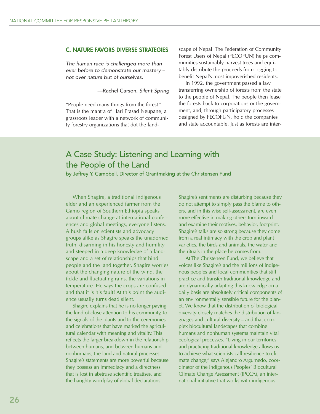#### **C. NATURE FAVORS DIVERSE STRATEGIES**

The human race is challenged more than ever before to demonstrate our mastery – not over nature but of ourselves.

—Rachel Carson, Silent Spring

"People need many things from the forest." That is the mantra of Hari Prasad Neupane, a grassroots leader with a network of community forestry organizations that dot the land-

scape of Nepal. The Federation of Community Forest Users of Nepal (FECOFUN) helps communities sustainably harvest trees and equitably distribute the proceeds from logging to benefit Nepal's most impoverished residents.

In 1992, the government passed a law transferring ownership of forests from the state to the people of Nepal. The people then lease the forests back to corporations or the government, and, through participatory processes designed by FECOFUN, hold the companies and state accountable. Just as forests are inter-

### A Case Study: Listening and Learning with the People of the Land

by Jeffrey Y. Campbell, Director of Grantmaking at the Christensen Fund

When Shagire, a traditional indigenous elder and an experienced farmer from the Gamo region of Southern Ethiopia speaks about climate change at international conferences and global meetings, everyone listens. A hush falls on scientists and advocacy groups alike as Shagire speaks the unadorned truth, disarming in his honesty and humility and steeped in a deep knowledge of a landscape and a set of relationships that bind people and the land together. Shagire worries about the changing nature of the wind, the fickle and fluctuating rains, the variations in temperature. He says the crops are confused and that it is his fault! At this point the audience usually turns dead silent.

Shagire explains that he is no longer paying the kind of close attention to his community, to the signals of the plants and to the ceremonies and celebrations that have marked the agricultural calendar with meaning and vitality. This reflects the larger breakdown in the relationship between humans, and between humans and nonhumans, the land and natural processes. Shagire's statements are more powerful because they possess an immediacy and a directness that is lost in abstruse scientific treatises, and the haughty wordplay of global declarations.

Shagire's sentiments are disturbing because they do not attempt to simply pass the blame to others, and in this wise self-assessment, are even more effective in making others turn inward and examine their motives, behavior, footprint. Shagire's talks are so strong because they come from a real intimacy with the crop and plant varieties, the birds and animals, the water and the rituals in the place he comes from.

At The Christensen Fund, we believe that voices like Shagire's and the millions of indigenous peoples and local communities that still practice and transfer traditional knowledge and are dynamically adapting this knowledge on a daily basis are absolutely critical components of an environmentally sensible future for the planet. We know that the distribution of biological diversity closely matches the distribution of languages and cultural diversity – and that complex biocultural landscapes that combine humans and nonhuman systems maintain vital ecological processes. "Living in our territories and practicing traditional knowledge allows us to achieve what scientists call resilience to climate change," says Alejandro Argumedo, coordinator of the Indigenous Peoples' Biocultural Climate Change Assessment (IPCCA), an international initiative that works with indigenous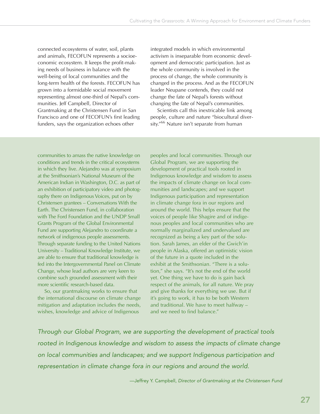connected ecosystems of water, soil, plants and animals, FECOFUN represents a socioeconomic ecosystem. It keeps the profit-making needs of business in balance with the well-being of local communities and the long-term health of the forests. FECOFUN has grown into a formidable social movement representing almost one-third of Nepal's communities. Jeff Campbell, Director of Grantmaking at the Christensen Fund in San Francisco and one of FECOFUN's first leading funders, says the organization echoes other

integrated models in which environmental activism is inseparable from economic development and democratic participation. Just as the whole community is involved in the process of change, the whole community is changed in the process. And as the FECOFUN leader Neupane contends, they could not change the fate of Nepal's forests without changing the fate of Nepal's communities.

Scientists call this inextricable link among people, culture and nature "biocultural diversity."66 Nature isn't separate from human

communities to amass the native knowledge on conditions and trends in the critical ecosystems in which they live. Alejandro was at symposium at the Smithsonian's National Museum of the American Indian in Washington, D.C. as part of an exhibition of participatory video and photography there on Indigenous Voices, put on by Christensen grantees – Conversations With the Earth. The Christensen Fund, in collaboration with The Ford Foundation and the UNDP Small Grants Program of the Global Environmental Fund are supporting Alejandro to coordinate a network of indigenous people assessments. Through separate funding to the United Nations University – Traditional Knowledge Institute, we are able to ensure that traditional knowledge is fed into the Intergovernmental Panel on Climate Change, whose lead authors are very keen to combine such grounded assessment with their more scientific research-based data.

So, our grantmaking works to ensure that the international discourse on climate change mitigation and adaptation includes the needs, wishes, knowledge and advice of Indigenous

peoples and local communities. Through our Global Program, we are supporting the development of practical tools rooted in Indigenous knowledge and wisdom to assess the impacts of climate change on local communities and landscapes; and we support Indigenous participation and representation in climate change fora in our regions and around the world. This helps ensure that the voices of people like Shagire and of indigenous peoples and local communities who are normally marginalized and undervalued are recognized as being a key part of the solution. Sarah James, an elder of the Gwich'in people in Alaska, offered an optimistic vision of the future in a quote included in the exhibit at the Smithsonian. "There is a solution," she says. "It's not the end of the world yet. One thing we have to do is gain back respect of the animals, for all nature. We pray and give thanks for everything we use. But if it's going to work, it has to be both Western and traditional. We have to meet halfway – and we need to find balance."

Through our Global Program, we are supporting the development of practical tools rooted in Indigenous knowledge and wisdom to assess the impacts of climate change on local communities and landscapes; and we support Indigenous participation and representation in climate change fora in our regions and around the world.

—Jeffrey Y. Campbell, Director of Grantmaking at the Christensen Fund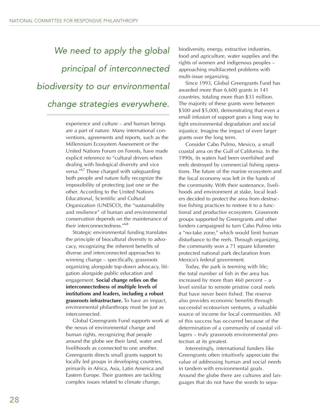# We need to apply the global principal of interconnected biodiversity to our environmental change strategies everywhere.

experience and culture – and human beings are a part of nature. Many international conventions, agreements and reports, such as the Millennium Ecosystem Assessment or the United Nations Forum on Forests, have made explicit reference to "cultural drivers when dealing with biological diversity and vice versa."67 Those charged with safeguarding both people and nature fully recognize the impossibility of protecting just one or the other. According to the United Nations Educational, Scientific and Cultural Organization (UNESCO), the "sustainability and resilience" of human and environmental conservation depends on the maintenance of their interconnectedness."68

Strategic environmental funding translates the principle of biocultural diversity to advocacy, recognizing the inherent benefits of diverse and interconnected approaches to winning change – specifically, grassroots organizing alongside top-down advocacy, litigation alongside public education and engagement. **Social change relies on the interconnectedness of multiple levels of institutions and leaders, including a robust grassroots infrastructure.** To have an impact, environmental philanthropy must be just as interconnected.

Global Greengrants Fund supports work at the nexus of environmental change and human rights, recognizing that people around the globe see their land, water and livelihoods as connected to one another. Greengrants directs small grants support to locally led groups in developing countries, primarily in Africa, Asia, Latin America and Eastern Europe. Their grantees are tackling complex issues related to climate change,

biodiversity, energy, extractive industries, food and agriculture, water supplies and the rights of women and indigenous peoples – approaching multifaceted problems with multi-issue organizing.

Since 1993, Global Greengrants Fund has awarded more than 6,600 grants in 141 countries, totaling more than \$33 million. The majority of these grants were between \$500 and \$5,000, demonstrating that even a small infusion of support goes a long way to fight environmental degradation and social injustice. Imagine the impact of even larger grants over the long term.

Consider Cabo Pulmo, Mexico, a small coastal area on the Gulf of California. In the 1990s, its waters had been overfished and reefs destroyed by commercial fishing operations. The future of the marine ecosystem and the local economy was left in the hands of the community. With their sustenance, livelihoods and environment at stake, local leaders decided to protect the area from destructive fishing practices to restore it to a functional and productive ecosystem. Grassroots groups supported by Greengrants and other funders campaigned to turn Cabo Pulmo into a "no-take zone," which would limit human disturbance to the reefs. Through organizing, the community won a 71 square kilometer protected national park declaration from Mexico's federal government.

Today, the park is teeming with life; the total number of fish in the area has increased by more than 460 percent – a level similar to remote pristine coral reefs that have never been fished. The reserve also provides economic benefits through successful ecotourism ventures, a valuable source of income for local communities. All of this success has occurred because of the determination of a community of coastal villagers – truly grassroots environmental protection at its greatest.

Interestingly, international funders like Greengrants often intuitively appreciate the value of addressing human and social needs in tandem with environmental goals. Around the globe there are cultures and languages that do not have the words to sepa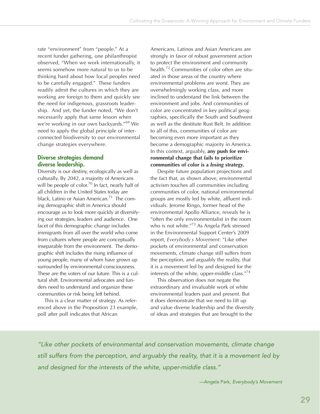rate "environment" from "people." At a recent funder gathering, one philanthropist observed, "When we work internationally, it seems somehow more natural to us to be thinking hard about how local peoples need to be carefully engaged." These funders readily admit the cultures in which they are working are foreign to them and quickly see the need for indigenous, grassroots leadership. And yet, the funder noted, "We don't necessarily apply that same lesson when we're working in our own backyards."<sup>69</sup> We need to apply the global principle of interconnected biodiversity to our environmental change strategies everywhere.

#### **Diverse strategies demand diverse leadership.**

Diversity is our destiny, ecologically as well as culturally. By 2042, a majority of Americans will be people of color.<sup>70</sup> In fact, nearly half of all children in the United States today are black, Latino or Asian American.<sup>71</sup> The coming demographic shift in America should encourage us to look more quickly at diversifying our strategies, leaders and audience. One facet of this demographic change includes immigrants from all over the world who come from cultures where people are conceptually inseparable from the environment. The demographic shift includes the rising influence of young people, many of whom have grown up surrounded by environmental consciousness. These are the voters of our future. This is a cultural shift. Environmental advocates and funders need to understand and organize these communities or risk being left behind.

This is a clear matter of strategy. As referenced above in the Proposition 23 example, poll after poll indicates that African

Americans, Latinos and Asian Americans are strongly in favor of robust government action to protect the environment and community health.72 Communities of color often are situated in those areas of the country where environmental problems are worst. They are overwhelmingly working class, and more inclined to understand the link between the environment and jobs. And communities of color are concentrated in key political geographies, specifically the South and Southwest as well as the destitute Rust Belt. In addition to all of this, communities of color are becoming even more important as they become a demographic majority in America. In this context, arguably, **any push for environmental change that fails to prioritize communities of color is a** *losing* **strategy.**

Despite future population projections and the fact that, as shown above, environmental activism touches all communities including communities of color, national environmental groups are mostly led by white, affluent individuals. Jerome Ringo, former head of the environmental Apollo Alliance, reveals he is "often the only environmentalist in the room who is not white."73 As Angela Park stressed in the Environmental Support Center's 2009 report, *Everybody s Movement*: "Like other pockets of environmental and conservation movements, climate change still suffers from the perception, and arguably the reality, that it is a movement led by and designed for the interests of the white, upper-middle class."<sup>74</sup>

This observation does not negate the extraordinary and invaluable work of white environmental leaders past and present. But it does demonstrate that we need to lift up and value diverse leadership and the diversity of ideas and strategies that are brought to the

"Like other pockets of environmental and conservation movements, climate change still suffers from the perception, and arguably the reality, that it is a movement led by and designed for the interests of the white, upper-middle class."

—Angela Park, Everybody's Movement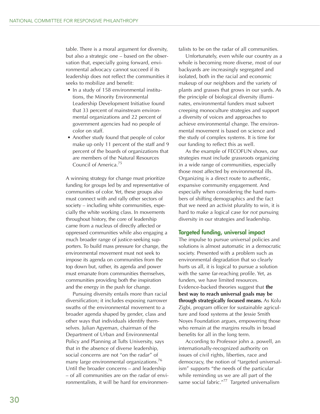table. There is a moral argument for diversity, but also a strategic one – based on the observation that, especially going forward, environmental advocacy cannot succeed if its leadership does not reflect the communities it seeks to mobilize and benefit:

- In a study of 158 environmental institutions, the Minority Environmental Leadership Development Initiative found that 33 percent of mainstream environmental organizations and 22 percent of government agencies had no people of color on staff.
- Another study found that people of color make up only 11 percent of the staff and 9 percent of the boards of organizations that are members of the Natural Resources Council of America.75

A winning strategy for change must prioritize funding for groups led by and representative of communities of color. Yet, these groups also must connect with and rally other sectors of society – including white communities, especially the white working class. In movements throughout history, the core of leadership came from a nucleus of directly affected or oppressed communities while also engaging a much broader range of justice-seeking supporters. To build mass pressure for change, the environmental movement must not seek to impose its agenda on communities from the top down but, rather, its agenda and power must emanate from communities themselves, communities providing both the inspiration and the energy in the push for change.

Pursuing diversity entails more than racial diversification; it includes exposing narrower swaths of the environmental movement to a broader agenda shaped by gender, class and other ways that individuals identify themselves. Julian Agyeman, chairman of the Department of Urban and Environmental Policy and Planning at Tufts University, says that in the absence of diverse leadership, social concerns are not "on the radar" of many large environmental organizations.<sup>76</sup> Until the broader concerns – and leadership – of all communities are on the radar of environmentalists, it will be hard for environmentalists to be on the radar of all communities.

Unfortunately, even while our country as a whole is becoming more diverse, most of our backyards are increasingly segregated and isolated, both in the racial and economic makeup of our neighbors and the variety of plants and grasses that grows in our yards. As the principle of biological diversity illuminates, environmental funders must subvert creeping monoculture strategies and support a diversity of voices and approaches to achieve environmental change. The environmental movement is based on science and the study of complex systems. It is time for our funding to reflect this as well.

As the example of FECOFUN shows, our strategies must include grassroots organizing in a wide range of communities, especially those most affected by environmental ills. Organizing is a direct route to authentic, expansive community engagement. And especially when considering the hard numbers of shifting demographics and the fact that we need an activist plurality to win, it is hard to make a logical case for *not* pursuing diversity in our strategies and leadership.

#### **Targeted funding, universal impact**

The impulse to pursue universal policies and solutions is almost automatic in a democratic society. Presented with a problem such as environmental degradation that so clearly hurts us all, it is logical to pursue a solution with the same far-reaching profile. Yet, as funders, we have limited resources. Evidence-backed theories suggest that **the best way to reach universal goals may be through strategically focused means.** As Kolu Zigbi, program officer for sustainable agriculture and food systems at the Jessie Smith Noyes Foundation argues, empowering those who remain at the margins results in broad benefits for all in the long term.

According to Professor john a. powell, an internationally-recognized authority on issues of civil rights, liberties, race and democracy, the notion of "targeted universalism" supports "the needs of the particular while reminding us we are all part of the same social fabric."<sup>77</sup> Targeted universalism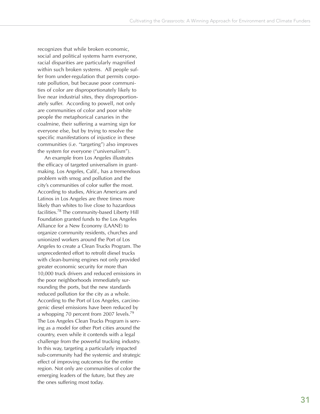recognizes that while broken economic, social and political systems harm everyone, racial disparities are particularly magnified within such broken systems. All people suffer from under-regulation that permits corporate pollution, but because poor communities of color are disproportionately likely to live near industrial sites, they disproportionately suffer. According to powell, not only are communities of color and poor white people the metaphorical canaries in the coalmine, their suffering a warning sign for everyone else, but by trying to resolve the specific manifestations of injustice in these communities (i.e. "targeting") also improves the system for everyone ("universalism").

An example from Los Angeles illustrates the efficacy of targeted universalism in grantmaking. Los Angeles, Calif., has a tremendous problem with smog and pollution and the city's communities of color suffer the most. According to studies, African Americans and Latinos in Los Angeles are three times more likely than whites to live close to hazardous facilities.78 The community-based Liberty Hill Foundation granted funds to the Los Angeles Alliance for a New Economy (LAANE) to organize community residents, churches and unionized workers around the Port of Los Angeles to create a Clean Trucks Program. The unprecedented effort to retrofit diesel trucks with clean-burning engines not only provided greater economic security for more than 10,000 truck drivers and reduced emissions in the poor neighborhoods immediately surrounding the ports, but the new standards reduced pollution for the city as a whole. According to the Port of Los Angeles, carcinogenic diesel emissions have been reduced by a whopping 70 percent from 2007 levels.<sup>79</sup> The Los Angeles Clean Trucks Program is serving as a model for other Port cities around the country, even while it contends with a legal challenge from the powerful trucking industry. In this way, targeting a particularly impacted sub-community had the systemic and strategic effect of improving outcomes for the entire region. Not only are communities of color the emerging leaders of the future, but they are the ones suffering most today.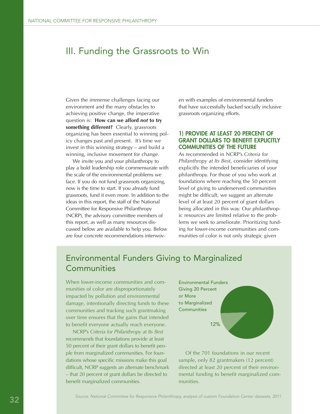### III. Funding the Grassroots to Win

Given the immense challenges facing our environment and the many obstacles to achieving positive change, the imperative question is: **How can we afford** *not* **to try something different?** Clearly, grassroots organizing has been essential to winning policy changes past and present. It's time we invest in this winning strategy – and build a winning, inclusive movement for change.

We invite you and your philanthropy to play a bold leadership role commensurate with the scale of the environmental problems we face. If you do not fund grassroots organizing, now is the time to start. If you already fund grassroots, fund it even more. In addition to the ideas in this report, the staff of the National Committee for Responsive Philanthropy (NCRP), the advisory committee members of this report, as well as many resources discussed below are available to help you. Below are four concrete recommendations interwoven with examples of environmental funders that have successfully backed socially inclusive grassroots organizing efforts.

#### **1) PROVIDE AT LEAST 20 PERCENT OF GRANT DOLLARS TO BENEFIT EXPLICITLY COMMUNITIES OF THE FUTURE**

As recommended in NCRP's *Criteria for Philanthropy at Its Best*, consider identifying explicitly the intended beneficiaries of your philanthropy. For those of you who work at foundations where reaching the 50 percent level of giving to underserved communities might be difficult, we suggest an alternate level of at least 20 percent of grant dollars being allocated in this way. Our philanthropic resources are limited relative to the problems we seek to ameliorate. Prioritizing funding for lower-income communities and communities of color is not only strategic given

### Environmental Funders Giving to Marginalized **Communities**

When lower-income communities and communities of color are disproportionately impacted by pollution and environmental damage, intentionally directing funds to these communities and tracking such grantmaking over time ensures that the gains that intended to benefit everyone actually reach everyone.

NCRP's *Criteria for Philanthropy at Its Best* recommends that foundations provide at least 50 percent of their grant dollars to benefit people from marginalized communities. For foundations whose specific missions make this goal difficult, NCRP suggests an alternate benchmark – that 20 percent of grant dollars be directed to benefit marginalized communities.



Of the 701 foundations in our recent sample, only 82 grantmakers (12 percent) directed at least 20 percent of their environmental funding to benefit marginalized communities.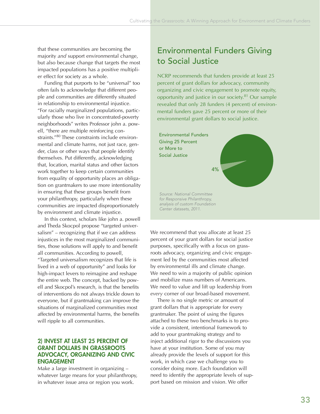that these communities are becoming the majority *and* support environmental change, but also because change that targets the most impacted populations has a positive multiplier effect for society as a whole.

Funding that purports to be "universal" too often fails to acknowledge that different people and communities are differently situated in relationship to environmental injustice. "For racially marginalized populations, particularly those who live in concentrated-poverty neighborhoods" writes Professor john a. powell, "there are multiple reinforcing constraints."80 These constraints include environmental and climate harms, not just race, gender, class or other ways that people identify themselves. Put differently, acknowledging that, location, marital status and other factors work together to keep certain communities from equality of opportunity places an obligation on grantmakers to use more intentionality in ensuring that these groups benefit from your philanthropy, particularly when these communities are impacted disproportionately by environment and climate injustice.

In this context, scholars like john a. powell and Theda Skocpol propose "targeted universalism" – recognizing that if we can address injustices in the most marginalized communities, those solutions will apply to and benefit all communities. According to powell, "Targeted universalism recognizes that life is lived in a web of opportunity" and looks for high-impact levers to reimagine and reshape the entire web. The concept, backed by powell and Skocpol's research, is that the benefits of interventions do not always trickle down to everyone, but if grantmaking can improve the situations of marginalized communities most affected by environmental harms, the benefits will ripple to all communities.

#### **2) INVEST AT LEAST 25 PERCENT OF GRANT DOLLARS IN GRASSROOTS ADVOCACY, ORGANIZING AND CIVIC ENGAGEMENT**

Make a large investment in organizing – whatever large means for your philanthropy, in whatever issue area or region you work.

### Environmental Funders Giving to Social Justice

NCRP recommends that funders provide at least 25 percent of grant dollars for advocacy, community organizing and civic engagement to promote equity, opportunity and justice in our society.<sup>81</sup> Our sample revealed that only 28 funders (4 percent) of environmental funders gave 25 percent or more of their environmental grant dollars to social justice.



We recommend that you allocate at least 25 percent of your grant dollars for social justice purposes, specifically with a focus on grassroots advocacy, organizing and civic engagement led by the communities most affected by environmental ills and climate change. We need to win a majority of public opinion and mobilize mass numbers of Americans. We need to value and lift up leadership from *every* corner of our broad-based movement.

There is no single metric or amount of grant dollars that is appropriate for every grantmaker. The point of using the figures attached to these two benchmarks is to provide a consistent, intentional framework to add to your grantmaking strategy and to inject additional rigor to the discussions you have at your institution. Some of you may already provide the levels of support for this work, in which case we challenge you to consider doing more. Each foundation will need to identify the appropriate levels of support based on mission and vision. We offer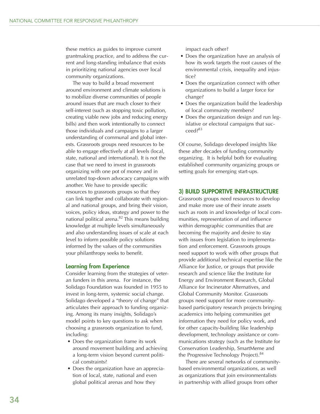these metrics as guides to improve current grantmaking practice, and to address the current and long-standing imbalance that exists in prioritizing national agencies over local community organizations.

The way to build a broad movement around environment and climate solutions is to mobilize diverse communities of people around issues that are much closer to their self-interest (such as stopping toxic pollution, creating viable new jobs and reducing energy bills) and then work intentionally to connect those individuals and campaigns to a larger understanding of communal and global interests. Grassroots groups need resources to be able to engage effectively at all levels (local, state, national and international). It is not the case that we need to invest in grassroots organizing with one pot of money and in unrelated top-down advocacy campaigns with another. We have to provide specific resources to grassroots groups so that they can link together and collaborate with regional and national groups, and bring their vision, voices, policy ideas, strategy and power to the national political arena. $82$  This means building knowledge at multiple levels simultaneously and also understanding issues of scale at each level to inform possible policy solutions informed by the values of the communities your philanthropy seeks to benefit.

#### **Learning from Experience**

Consider learning from the strategies of veteran funders in this arena. For instance, the Solidago Foundation was founded in 1955 to invest in long-term, systemic social change. Solidago developed a "theory of change" that articulates their approach to funding organizing. Among its many insights, Solidago's model points to key questions to ask when choosing a grassroots organization to fund, including:

- Does the organization frame its work around movement building and achieving a long-term vision beyond current political constraints?
- Does the organization have an appreciation of local, state, national and even global political arenas and how they

impact each other?

- Does the organization have an analysis of how its work targets the root causes of the environmental crisis, inequality and injustice?
- Does the organization connect with other organizations to build a larger force for change?
- Does the organization build the leadership of local community members?
- Does the organization design and run legislative or electoral campaigns that succeed?83

Of course, Solidago developed insights like these after decades of funding community organizing. It is helpful both for evaluating established community organizing groups or setting goals for emerging start-ups.

#### **3) BUILD SUPPORTIVE INFRASTRUCTURE**

Grassroots groups need resources to develop and make more use of their innate assets such as roots in and knowledge of local communities, representation of and influence within demographic communities that are becoming the majority and desire to stay with issues from legislation to implementation and enforcement. Grassroots groups need support to work with other groups that provide additional technical expertise like the Alliance for Justice, or groups that provide research and science like the Institute for Energy and Environment Research, Global Alliance for Incinerator Alternatives, and Global Community Monitor. Grassroots groups need support for more communitybased participatory research projects bringing academics into helping communities get information they need for policy work, and for other capacity-building like leadership development, technology assistance or communications strategy (such as the Institute for Conservation Leadership, SmartMeme and the Progressive Technology Project).<sup>84</sup>

There are several networks of communitybased environmental organizations, as well as organizations that join environmentalists in partnership with allied groups from other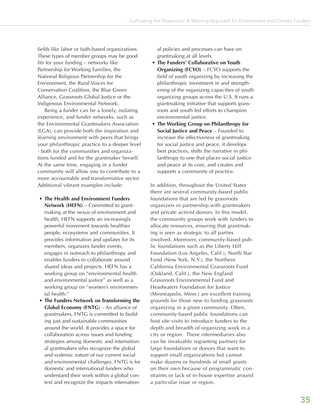fields like labor or faith-based organizations. These types of member groups may be good fits for your funding – networks like Partnership for Working Families, the National Religious Partnership for the Environment, the Rural Voices for Conservation Coalition, the Blue Green Alliance, Grassroots Global Justice or the Indigenous Environmental Network.

Being a funder can be a lonely, isolating experience, and funder networks, such as the Environmental Grantmakers Association (EGA), can provide both the inspiration and learning environment with peers that brings your philanthropic practice to a deeper level - both for the communities and organizations funded and for the grantmaker herself. At the same time, engaging in a funder community will allow you to contribute to a more accountable and transformative sector. Additional vibrant examples include:

- **The Health and Environment Funders Network (HEFN)** – Committed to grantmaking at the nexus of environment and health, HEFN supports an increasingly powerful movement towards healthier people, ecosystems and communities. It provides information and updates for its members, organizes funder events, engages in outreach to philanthropy and enables funders to collaborate around shared ideas and projects. HEFN has a working group on "environmental health and environmental justice" as well as a working group on "women's environmental health."
- **The Funders Network on Transforming the Global Economy (FNTG**) – An alliance of grantmakers, FNTG is committed to building just and sustainable communities around the world. It provides a space for collaboration across issues and funding strategies among domestic and international grantmakers who recognize the global and systemic nature of our current social and environmental challenges. FNTG is for domestic and international funders who understand their work within a global context and recognize the impacts internation-

al policies and processes can have on grantmaking at all levels.

- **The Funders' Collaborative on Youth Organizing (FCYO)** – FCYO supports the field of youth organizing by increasing the philanthropic investment in and strengthening of the organizing capacities of youth organizing groups across the U.S. It runs a grantmaking initiative that supports grassroots and youth-led efforts to champion environmental justice.
- **The Working Group on Philanthropy for Social Justice and Peace** – Founded to increase the effectiveness of grantmaking for social justice and peace, it develops best practices, shifts the narrative in philanthropy to one that places social justice and peace at its core, and creates and supports a community of practice.

In addition, throughout the United States there are several community-based public foundations that are led by grassroots organizers in partnership with grantmakers and private activist donors. In this model, the community groups work with funders to allocate resources, ensuring that grantmaking is seen as strategic to all parties involved. Moreover, community-based public foundations such as the Liberty Hill Foundation (Los Angeles, Calif.), North Star Fund (New York, N.Y.), the Northern California Environmental Grassroots Fund (Oakland, Calif.), the New England Grassroots Environmental Fund and Headwaters Foundation for Justice (Minneapolis, Minn.) are excellent training grounds for those new to funding grassroots organizing in a given community. Often, community-based public foundations can host site visits to introduce funders to the depth and breadth of organizing work in a city or region. These intermediaries also can be invaluable regranting partners for large foundations or donors that want to support small organizations but cannot make dozens or hundreds of small grants on their own because of programmatic constraints or lack of in-house expertise around a particular issue or region.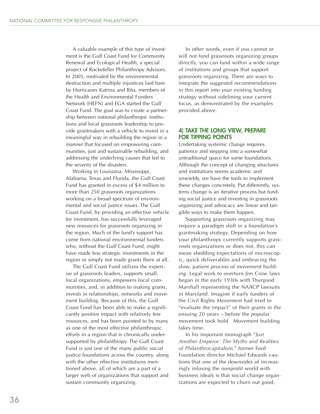A valuable example of this type of investment is the Gulf Coast Fund for Community Renewal and Ecological Health, a special project of Rockefeller Philanthropy Advisors. In 2005, motivated by the environmental destruction and multiple injustices laid bare by Hurricanes Katrina and Rita, members of the Health and Environmental Funders Network (HEFN) and EGA started the Gulf Coast Fund. The goal was to create a partnership between national philanthropic institutions and local grassroots leadership to provide grantmakers with a vehicle to invest in a meaningful way in rebuilding the region in a manner that focused on empowering communities, just and sustainable rebuilding, and addressing the underlying causes that led to the severity of the disasters.

Working in Louisiana, Mississippi, Alabama, Texas and Florida, the Gulf Coast Fund has granted in excess of \$4 million to more than 250 grassroots organizations working on a broad spectrum of environmental and social justice issues. The Gulf Coast Fund, by providing an effective vehicle for investment, has successfully leveraged new resources for grassroots organizing in the region. Much of the fund's support has come from national environmental funders who, without the Gulf Coast Fund, might have made less strategic investments in the region or simply not made grants there at all.

The Gulf Coast Fund utilizes the expertise of grassroots leaders, supports small, local organizations, empowers local communities, and, in addition to making grants, invests in relationships, networks and movement building. Because of this, the Gulf Coast Fund has been able to make a significantly positive impact with relatively few resources, and has been pointed to by many as one of the most effective philanthropic efforts in a region that is chronically undersupported by philanthropy. The Gulf Coast Fund is just one of the many public social justice foundations across the country, along with the other effective institutions mentioned above, all of which are a part of a larger web of organizations that support and sustain community organizing.

In other words, even if you cannot or will not fund grassroots organizing groups directly, you can fund within a wide range of institutions and groups that support grassroots organizing. There are ways to integrate the suggested recommendations in this report into your existing funding strategy without sidelining your current focus, as demonstrated by the examples provided above.

#### **4) TAKE THE LONG VIEW, PREPARE FOR TIPPING POINTS**

Undertaking systemic change requires patience and stepping into a somewhat untraditional space for some foundations. Although the concept of changing structures and institutions seems academic and unwieldy, we have the tools to implement these changes concretely. Put differently, systems change is an iterative process but funding social justice and investing in grassroots organizing and advocacy are linear and tangible ways to make them happen.

Supporting grassroots organizing may require a paradigm shift in a foundation's grantmaking strategy. Depending on how your philanthropy currently supports grassroots organizations or does not, this can mean shedding expectations of microscopic, quick deliverables and embracing the slow, patient process of movement building. Legal work to overturn Jim Crow laws began in the early 1930s with Thurgood Marshall representing the NAACP lawsuits in Maryland. Imagine if early funders of the Civil Rights Movement had tried to "evaluate the impact" of their grants in the ensuing 20 years – before the popular movement took hold. Movement building takes time.

In his important monograph "*Just Another Emperor: The Myths and Realities of Philanthrocapitalism*," former Ford Foundation director Michael Edwards cautions that one of the downsides of increasingly infusing the nonprofit world with business ideals is that social change organizations are expected to churn out good,

36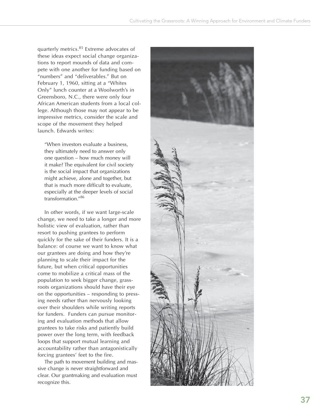quarterly metrics.<sup>85</sup> Extreme advocates of these ideas expect social change organizations to report mounds of data and compete with one another for funding based on "numbers" and "deliverables." But on February 1, 1960, sitting at a "Whites Only" lunch counter at a Woolworth's in Greensboro, N.C., there were only four African American students from a local college. Although those may not appear to be impressive metrics, consider the scale and scope of the movement they helped launch. Edwards writes:

"When investors evaluate a business, they ultimately need to answer only one question – how much money will it make? The equivalent for civil society is the social impact that organizations might achieve, alone and together, but that is much more difficult to evaluate, especially at the deeper levels of social transformation."86

In other words, if we want large-scale change, we need to take a longer and more holistic view of evaluation, rather than resort to pushing grantees to perform quickly for the sake of their funders. It is a balance: of course we want to know what our grantees are doing and how they're planning to scale their impact for the future, but when critical opportunities come to mobilize a critical mass of the population to seek bigger change, grassroots organizations should have their eye on the opportunities – responding to pressing needs rather than nervously looking over their shoulders while writing reports for funders. Funders can pursue monitoring and evaluation methods that allow grantees to take risks and patiently build power over the long term, with feedback loops that support mutual learning and accountability rather than antagonistically forcing grantees' feet to the fire.

The path to movement building and massive change is never straightforward and clear. Our grantmaking and evaluation must recognize this.

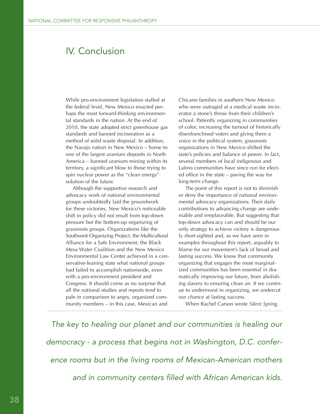# IV. Conclusion

While pro-environment legislation stalled at the federal level, New Mexico enacted perhaps the most forward-thinking environmental standards in the nation. At the end of 2010, the state adopted strict greenhouse gas standards and banned incineration as a method of solid waste disposal. In addition, the Navajo nation in New Mexico – home to one of the largest uranium deposits in North America – banned uranium mining within its territory, a significant blow to those trying to spin nuclear power as the "clean energy" solution of the future.

Although the supportive research and advocacy work of national environmental groups undoubtedly laid the groundwork for these victories, New Mexico's noticeable shift in policy did not result from top-down pressure but the bottom-up organizing of grassroots groups. Organizations like the Southwest Organizing Project, the Multicultural Alliance for a Safe Environment, the Black Mesa Water Coalition and the New Mexico Environmental Law Center achieved in a conservative-leaning state what national groups had failed to accomplish nationwide, even with a pro-environment president and Congress. It should come as no surprise that all the national studies and reports tend to pale in comparison to angry, organized community members – in this case, Mexican and

Chicano families in southern New Mexico who were outraged at a medical waste incinerator a stone's throw from their children's school. Patiently organizing in communities of color, increasing the turnout of historically disenfranchised voters and giving them a voice in the political system, grassroots organizations in New Mexico shifted the state's policies and balance of power. In fact, several members of local indigenous and Latino communities have since run for elected office in the state – paving the way for long-term change.

The point of this report is not to diminish or deny the importance of national environmental advocacy organizations. Their daily contributions to advancing change are undeniable and irreplaceable. But suggesting that top-down advocacy can and should be our only strategy to achieve victory is dangerously short-sighted and, as we have seen in examples throughout this report, arguably to blame for our movement's lack of broad and lasting success. We know that community organizing that engages the most marginalized communities has been essential in dramatically improving our future, from abolishing slavery to ensuring clean air. If we continue to underinvest in organizing, we undercut our chance at lasting success.

When Rachel Carson wrote *Silent Spring*,

The key to healing our planet and our communities is healing our democracy - a process that begins not in Washington, D.C. conference rooms but in the living rooms of Mexican-American mothers and in community centers filled with African American kids.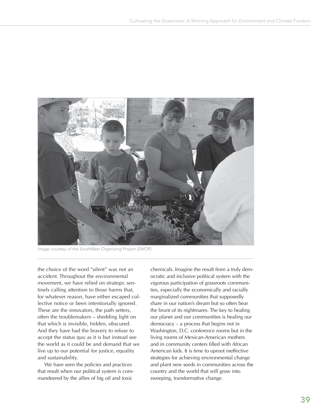

Image courtesy of the SouthWest Organizing Project (SWOP).

the choice of the word "silent" was not an accident. Throughout the environmental movement, we have relied on strategic sentinels calling attention to those harms that, for whatever reason, have either escaped collective notice or been intentionally ignored. These are the innovators, the path setters, often the troublemakers – shedding light on that which is invisible, hidden, obscured. And they have had the bravery to refuse to accept the status quo as it is but instead see the world as it could be and demand that we live up to our potential for justice, equality and sustainability.

We have seen the policies and practices that result when our political system is commandeered by the allies of big oil and toxic

chemicals. Imagine the result from a truly democratic and inclusive political system with the vigorous participation of grassroots communities, especially the economically and racially marginalized communities that supposedly share in our nation's dream but so often bear the brunt of its nightmares. The key to healing our planet and our communities is healing our democracy – a process that begins not in Washington, D.C. conference rooms but in the living rooms of Mexican-American mothers and in community centers filled with African American kids. It is time to uproot ineffective strategies for achieving environmental change and plant new seeds in communities across the country and the world that will grow into sweeping, transformative change.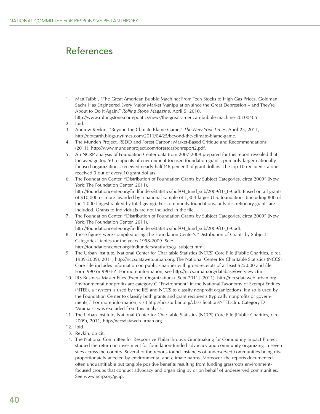# References

- 1. Matt Taibbi, "The Great American Bubble Machine: From Tech Stocks to High Gas Prices, Goldman Sachs Has Engineered Every Major Market Manipulation since the Great Depression – and They're About to Do it Again," *Rolling Stone Magazine,* April 5, 2010, http://www.rollingstone.com/politics/news/the-great-american-bubble-machine-20100405.
- 2. Ibid.
- 3. Andrew Revkin, "Beyond the Climate Blame Game," *The New York Times*, April 25, 2011, http://dotearth.blogs.nytimes.com/2011/04/25/beyond-the-climate-blame-game.
- 4. The Munden Project, REDD and Forest Carbon: Market-Based Critique and Recommendations (2011), http://www.mundenproject.com/forestcarbonreport2.pdf.
- 5. An NCRP analysis of Foundation Center data from 2007-2009 prepared for this report revealed that the average top 50 recipients of environment-focused foundation grants, primarily larger nationally focused organizations, received nearly half (46 percent) of grant dollars. The top 10 recipients alone received 3 out of every 10 grant dollars.
- 6. The Foundation Center, "Distribution of Foundation Grants by Subject Categories, circa 2009" (New York: The Foundation Center, 2011), http://foundationcenter.org/findfunders/statistics/pdf/04\_fund\_sub/2009/10\_09.pdf. Based on all grants of \$10,000 or more awarded by a national sample of 1,384 larger U.S. foundations (including 800 of the 1,000 largest ranked by total giving). For community foundations, only discretionary grants are included. Grants to individuals are not included in the file.
- 7. The Foundation Center, "Distribution of Foundation Grants by Subject Categories, circa 2009" (New York: The Foundation Center, 2011),

http://foundationcenter.org/findfunders/statistics/pdf/04\_fund\_sub/2009/10\_09.pdf.

- 8. These figures were compiled using The Foundation Center's "Distribution of Grants by Subject Categories" tables for the years 1998-2009. See:
	- http://foundationcenter.org/findfunders/statistics/gs\_subject.html.
- 9. The Urban Institute, National Center for Charitable Statistics (NCCS) Core File (Public Charities, circa 1989-2009), 2011, http://nccsdataweb.urban.org. The National Center for Charitable Statistics (NCCS) Core File includes information on public charities with gross receipts of at least \$25,000 and file Form 990 or 990-EZ. For more information, see http://nccs.urban.org/database/overview.cfm.
- 10. IRS Business Master Files (Exempt Organizations) [Sept 2011] (2011), http://nccsdataweb.urban.org. Environmental nonprofits are category C "Environment" in the National Taxonomy of Exempt Entities (NTEE), a "system is used by the IRS and NCCS to classify nonprofit organizations. It also is used by the Foundation Center to classify both grants and grant recipients (typically nonprofits or governments)." For more information, visit http://nccs.urban.org/classification/NTEE.cfm. Category D "Animals" was excluded from this analysis.
- 11. The Urban Institute, National Center for Charitable Statistics (NCCS) Core File (Public Charities, circa 2009), 2011, http://nccsdataweb.urban.org.
- 12. Ibid.
- 13. Revkin, op cit.
- 14. The National Committee for Responsive Philanthropy's Grantmaking for Community Impact Project studied the return on investment for foundation-funded advocacy and community organizing in seven sites across the country. Several of the reports found instances of underserved communities being disproportionately affected by environmental and climate harms. Moreover, the reports documented often unquantifiable but tangible positive benefits resulting from funding grassroots environmentfocused groups that conduct advocacy and organizing by or on behalf of underserved communities. See www.ncrp.org/gcip.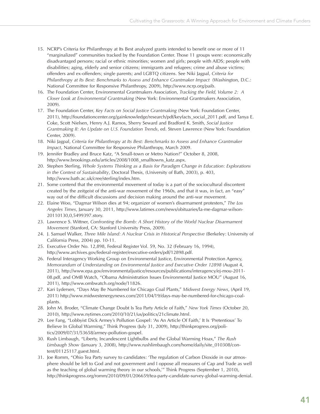- 15. NCRP's Criteria for Philanthropy at Its Best analyzed grants intended to benefit one or more of 11 "marginalized" communities tracked by the Foundation Center. Those 11 groups were: economically disadvantaged persons; racial or ethnic minorities; women and girls; people with AIDS; people with disabilities; aging, elderly and senior citizens; immigrants and refugees; crime and abuse victims; offenders and ex-offenders; single parents; and LGBTQ citizens. See Niki Jagpal, *Criteria for Philanthropy at Its Best: Benchmarks to Assess and Enhance Grantmaker Impact* (Washington, D.C.: National Committee for Responsive Philanthropy, 2009), http://www.ncrp.org/paib.
- 16. The Foundation Center, Environmental Grantmakers Association, *Tracking the Field, Volume 2: A Closer Look at Environmental Grantmaking* (New York: Environmental Grantmakers Association, 2009).
- 17. The Foundation Center, *Key Facts on Social Justice Grantmaking* (New York: Foundation Center, 2011), http://foundationcenter.org/gainknowledge/research/pdf/keyfacts\_social\_2011.pdf, and Tanya E. Coke, Scott Nielsen, Henry A.J. Ramos, Sherry Seward and Bradford K. Smith, *Social Justice Grantmaking II: An Update on U.S. Foundation Trends*, ed. Steven Lawrence (New York: Foundation Center, 2009).
- 18. Niki Jagpal, *Criteria for Philanthropy at Its Best: Benchmarks to Assess and Enhance Grantmaker Impact*, National Committee for Responsive Philanthropy, March 2009.
- 19. Jennifer Bradley and Bruce Katz, "A Small-town or Metro Nation?" October 8, 2008, http://www.brookings.edu/articles/2008/1008\_smalltowns\_katz.aspx.
- 20. Stephen Sterling, *Whole Systems Thinking as a Basis for Paradigm Change in Education: Explorations in the Context of Sustainability*, Doctoral Thesis, (University of Bath, 2003), p. 403, http://www.bath.ac.uk/cree/sterling/index.htm.
- 21. Some contend that the environmental movement of today is a part of the sociocultural discontent created by the zeitgeist of the anti-war movement of the 1960s, and that it was, in fact, an "easy" way out of the difficult discussions and decision making around the anti-war movement.
- 22. Elaine Woo, "Dagmar Wilson dies at 94; organizer of women's disarmament protesters," *The Los Angeles Times*, January 30, 2011, http://www.latimes.com/news/obituaries/la-me-dagmar-wilson-20110130,0,5499397.story.
- 23. Lawrence S. Wittner, *Confronting the Bomb: A Short History of the World Nuclear Disarmament Movement* (Stanford, CA: Stanford University Press, 2009).
- 24. J. Samuel Walker, *Three Mile Island: A Nuclear Crisis in Historical Perspective* (Berkeley: University of California Press, 2004) pp. 10-11.
- 25. Executive Order No. 12,898, Federal Register Vol. 59, No. 32 (February 16, 1994), http://www.archives.gov/federal-register/executive-orders/pdf/12898.pdf.
- 26. Federal Interagency Working Group on Environmental Justice, Environmental Protection Agency, *Memorandum of Understanding on Environmental Justice and Executive Order 12898* (August 4, 2011), http://www.epa.gov/environmentaljustice/resources/publications/interagency/ej-mou-2011- 08.pdf, and OMB Watch, "Obama Administration Issues Environmental Justice MOU" (August 16, 2011), http://www.ombwatch.org/node/11826.
- 27. Kari Lydersen, "Days May Be Numbered for Chicago Coal Plants," *Midwest Energy News*, (April 19, 2011) http://www.midwestenergynews.com/2011/04/19/days-may-be-numbered-for-chicago-coalplants.
- 28. John M. Broder, "Climate Change Doubt Is Tea Party Article of Faith," *New York Times* (October 20, 2010), http://www.nytimes.com/2010/10/21/us/politics/21climate.html.
- 29. Lee Fang, "Lobbyist Dick Armey's Pollution Gospel: 'As An Article Of Faith,' It Is 'Pretentious' To Believe In Global Warming," Think Progress (July 31, 2009), http://thinkprogress.org/politics/2009/07/31/53658/armey-pollution-gospel.
- 30. Rush Limbaugh, "Liberty, Incandescent Lightbulbs and the Global Warming Hoax," *The Rush Limbaugh Show* (January 3, 2008), http://www.rushlimbaugh.com/home/daily/site\_010308/content/01125117.guest.html.
- 31. Joe Romm, "Ohio Tea Party survey to candidates: 'The regulation of Carbon Dioxide in our atmosphere should be left to God and not government and I oppose all measures of Cap and Trade as well as the teaching of global warming theory in our schools,'" Think Progress (September 1, 2010), http://thinkprogress.org/romm/2010/09/01/206659/tea-party-candidate-survey-global-warming-denial.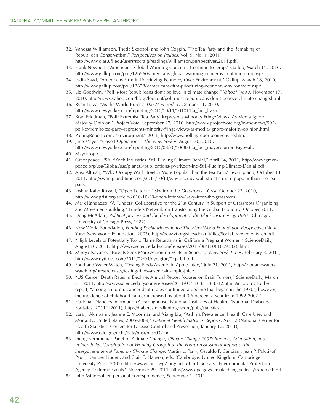- 32. Vanessa Williamson, Theda Skocpol, and John Coggin, "The Tea Party and the Remaking of Republican Conservatism," *Perspectives on Politics*, Vol. 9, No. 1 (2011), http://www.clas.ufl.edu/users/sccraig/readings/williamson.perspectives.2011.pdf.
- 33. Frank Newport, "Americans' Global Warming Concerns Continue to Drop," Gallup, March 11, 2010, http://www.gallup.com/poll/126560/americans-global-warming-concerns-continue-drop.aspx.
- 34. Lydia Saad, "Americans Firm in Prioritizing Economy Over Environment," Gallup, March 18, 2010, http://www.gallup.com/poll/126788/americans-firm-prioritizing-economy-environment.aspx.
- 35. Liz Goodwin, "Poll: Most Republicans don't believe in climate change," *Yahoo! News*, November 17, 2010, http://news.yahoo.com/blogs/lookout/poll-most-republicans-don-t-believe-climate-change.html.
- 36. Ryan Lizza, "As the World Burns," *The New Yorker*, October 11, 2010, http://www.newyorker.com/reporting/2010/10/11/101011fa\_fact\_lizza.
- 37. Brad Friedman, "Poll: Extremist 'Tea Party' Represents Minority Fringe Views, As Media Ignore Majority Opinion," Project Vote, September 27, 2010, http://www.projectvote.org/in-the-news/595 poll-extremist-tea-party-represents-minority-fringe-views-as-media-ignore-majority-opinion.html.
- 38. PollingReport.com, "Environment," 2011, http://www.pollingreport.com/enviro.htm.
- 39. Jane Mayer, "Covert Operations," *The New Yorker*, August 30, 2010,
- http://www.newyorker.com/reporting/2010/08/30/100830fa\_fact\_mayer?currentPage=all.
- 40. Mayer, op cit.
- 41. Greenpeace USA, "Koch Industries: Still Fueling Climate Denial," April 14, 2011, http://www.greenpeace.org/usa/Global/usa/planet3/publications/gwe/Koch-Ind-Still-Fueling-Climate-Denial.pdf.
- 42. Alex Altman, "Why Occupy Wall Street Is More Popular than the Tea Party," Swampland, October 13, 2011, http://swampland.time.com/2011/10/13/why-occupy-wall-street-s-more-popular-than-the-teaparty.
- 43. Joshua Kahn Russell, "Open Letter to 1Sky from the Grassroots," *Grist*, October 23, 2010, http://www.grist.org/article/2010-10-23-open-letter-to-1-sky-from-the-grassroots.
- 44. Mark Randazzo, "A Funders' Collaborative for the 21st Century In Support of Grassroots Organizing and Movement-building," Funders Network on Transforming the Global Economy, October 2011.
- 45. Doug McAdam, *Political process and the development of the black insurgency, 1930* (Chicago: University of Chicago Press, 1982).
- 46. New World Foundation, *Funding Social Movements: The New World Foundation Perspective* (New York: New World Foundation, 2003), http://newwf.org/sites/default/files/Social\_Movements\_en.pdf.
- 47. "High Levels of Potentially Toxic Flame Retardants in California Pregnant Women," ScienceDaily, August 10, 2011, http://www.sciencedaily.com/releases/2011/08/110810093826.htm.
- 48. Mireya Navarro, "Parents Seek More Action on PCBs in Schools," *New York Times*, February 3, 2011, http://www.nytimes.com/2011/02/04/nyregion/04pcb.html.
- 49. Food and Water Watch, "Testing Finds Arsenic in Apple Juice," July 21, 2011, http://foodandwaterwatch.org/pressreleases/testing-finds-arsenic-in-apple-juice.
- 50. "US Cancer Death Rates in Decline: Annual Report Focuses on Brain Tumors," ScienceDaily, March 31, 2011, http://www.sciencedaily.com/releases/2011/03/110331163512.htm. According to the report, "among children, cancer death rates continued a decline that began in the 1970s; however, the incidence of childhood cancer increased by about 0.6 percent a year from 1992-2007."
- 51. National Diabetes Information Clearinghouse, National Institutes of Health, "National Diabetes Statistics, 2011" (2011), http://diabetes.niddk.nih.gov/dm/pubs/statistics.
- 52. Lara J. Akinbami, Jeanne E. Moorman and Xiang Liu, "Asthma Prevalence, Health Care Use, and Mortality: United States, 2005-2009," *National Health Statistics Reports*, No. 32 (National Center for Health Statistics, Centers for Disease Control and Prevention, January 12, 2011), http://www.cdc.gov/nchs/data/nhsr/nhsr032.pdf.
- 53. Intergovernmental Panel on Climate Change, *Climate Change 2007: Impacts, Adaptation, and Vulnerability. Contribution of Working Group II to the Fourth Assessment Report of the Intergovernmental Panel on Climate Change*, Martin L. Parry, Osvaldo F. Canziani, Jean P. Palutikof, Paul J. van der Linden, and Clair E. Hanson, eds. (Cambridge, United Kingdom, Cambridge University Press, 2007), http://www.ipcc-wg2.org/index.html. See also Environmental Protection Agency, "Extreme Events," November 29, 2011, http://www.epa.gov/climatechange/effects/extreme.html.
- 54. John Mitterholzer, personal correspondence, September 1, 2011.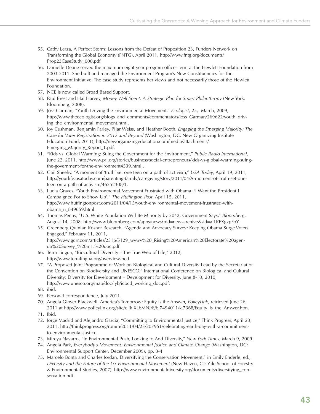- 55. Cathy Lerza, A Perfect Storm: Lessons from the Defeat of Proposition 23, Funders Network on Transforming the Global Economy (FNTG), April 2011, http://www.fntg.org/documents/ Prop23CaseStudy\_000.pdf
- 56. Danielle Deane served the maximum eight-year program officer term at the Hewlett Foundation from 2003-2011. She built and managed the Environment Program's New Constituencies for The Environment initiative. The case study represents her views and not necessarily those of the Hewlett Foundation.
- 57. NCE is now called Broad Based Support.
- 58. Paul Brest and Hal Harvey, *Money Well Spent: A Strategic Plan for Smart Philanthropy* (New York: Bloomberg, 2008).
- 59. Joss Garman, "Youth Driving the Environmental Movement." *Ecologist*, 25, March, 2009, http://www.theecologist.org/blogs\_and\_comments/commentators/Joss\_Garman/269622/youth\_driving the environmental movement.html.
- 60. Joy Cushman, Benjamin Farley, Pilar Weiss, and Heather Booth, *Engaging the Emerging Majority: The Case for Voter Registration in 2012 and Beyond* (Washington, DC: New Organizing Institute Education Fund, 2011), http://neworganizingeducation.com/media/attachments/ Emerging Majority Report 1.pdf.
- 61. "Kids vs. Global Warming: Suing the Government for the Environment," *Public Radio International*, June 22, 2011, http://www.pri.org/stories/business/social-entrepreneurs/kids-vs-global-warming-suingthe-government-for-the-environment4539.html,.
- 62. Gail Sheehy. "A moment of 'truth' set one teen on a path of activism," *USA Today*, April 19, 2011, http://yourlife.usatoday.com/parenting-family/caregiving/story/2011/04/A-moment-of-Truth-set-oneteen-on-a-path-of-activism/46252308/1.
- 63. Lucia Graves, "Youth Environmental Movement Frustrated with Obama: 'I Want the President I Campaigned For to Show Up'," *The Huffington Post*, April 15, 2011, http://www.huffingtonpost.com/2011/04/15/youth-environmental-movement-frustrated-withobama\_n\_849659.html.
- 64. Thomas Penny, "U.S. White Population Will Be Minority by 2042, Government Says," *Bloomberg*, August 14, 2008, http://www.bloomberg.com/apps/news?pid=newsarchive&sid=afLRFXgzpFoY.
- 65. Greenberg Quinlan Rosner Research, "Agenda and Advocacy Survey: Keeping Obama Surge Voters Engaged," February 11, 2011, http://www.gqrr.com/articles/2316/5129\_wvwv%20\_Rising%20American%20Electorate%20agenda%20Survey\_%20m1.%20doc.pdf.
- 66. Terra Lingua, "Biocultural Diversity The True Web of Life," 2012, http://www.terralingua.org/overview-bcd.
- 67. "A Proposed Joint Programme of Work on Biological and Cultural Diversity Lead by the Secretariat of the Convention on Biodiversity and UNESCO," International Conference on Biological and Cultural Diversity: Diversity for Development – Development for Diversity, June 8-10, 2010, http://www.unesco.org/mab/doc/iyb/icbcd\_working\_doc.pdf.
- 68. ibid.
- 69. Personal correspondence, July 2011.
- 70. Angela Glover Blackwell, America's Tomorrow: Equity is the Answer, *PolicyLink*, retrieved June 26, 2011 at http://www.policylink.org/site/c.lkIXLbMNJrE/b.7494011/k.7368/Equity\_is\_the\_Answer.htm.
- 71. Ibid.
- 72. Jorge Madrid and Alejandro Garcia, "Committing to Environmental Justice," Think Progress, April 23, 2011, http://thinkprogress.org/romm/2011/04/23/207951/celebrating-earth-day-with-a-commitmentto-environmental-justice.
- 73. Mireya Navarro, "In Environmental Push, Looking to Add Diversity," *New York Times*, March 9, 2009.
- 74. Angela Park, *Everybody s Movement: Environmental Justice and Climate Change* (Washington, DC: Environmental Support Center, December 2009), pp. 3-4.
- 75. Marcelo Bonta and Charles Jordan, Diversifying the Conservation Movement," in Emily Enderle, ed., *Diversity and the Future of the US Environmental Movement* (New Haven, CT: Yale School of Forestry & Environmental Studies, 2007), http://www.environmentaldiversity.org/documents/diversifying\_conservation.pdf.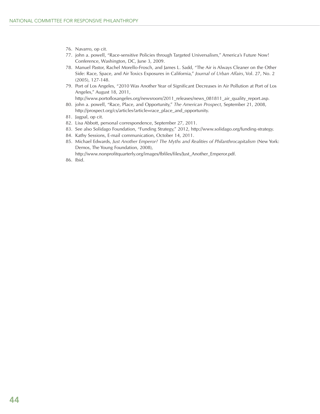- 76. Navarro, op cit.
- 77. john a. powell, "Race-sensitive Policies through Targeted Universalism," America's Future Now! Conference, Washington, DC, June 3, 2009.
- 78. Manuel Pastor, Rachel Morello-Frosch, and James L. Sadd, "The Air is Always Cleaner on the Other Side: Race, Space, and Air Toxics Exposures in California," *Journal of Urban Affairs*, Vol. 27, No. 2 (2005), 127-148.
- 79. Port of Los Angeles, "2010 Was Another Year of Significant Decreases in Air Pollution at Port of Los Angeles," August 18, 2011,

http://www.portoflosangeles.org/newsroom/2011\_releases/news\_081811\_air\_quality\_report.asp.

- 80. john a. powell, "Race, Place, and Opportunity," *The American Prospect*, September 21, 2008, http://prospect.org/cs/articles?article=race\_place\_and\_opportunity.
- 81. Jagpal, op cit.
- 82. Lisa Abbott, personal correspondence, September 27, 2011.
- 83. See also Solidago Foundation, "Funding Strategy," 2012, http://www.solidago.org/funding-strategy.
- 84. Kathy Sessions, E-mail communication, October 14, 2011.
- 85. Michael Edwards, *Just Another Emperor? The Myths and Realities of Philanthrocapitalism* (New York: Demos, The Young Foundation, 2008), http://www.nonprofitquarterly.org/images/fbfiles/files/Just\_Another\_Emperor.pdf.
- 86. Ibid.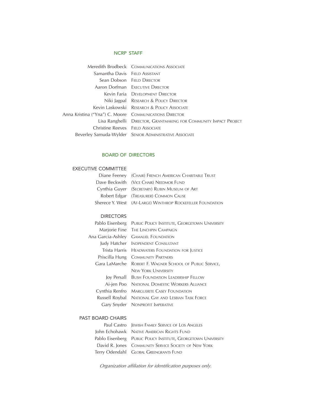#### NCRP STAFF

|                                                          | <b>Meredith Brodbeck COMMUNICATIONS ASSOCIATE</b>                 |
|----------------------------------------------------------|-------------------------------------------------------------------|
| Samantha Davis FIFLD ASSISTANT                           |                                                                   |
|                                                          | Sean Dobson FIFLD DIRECTOR                                        |
|                                                          | <b>Aaron Dorfman</b> EXECUTIVE DIRECTOR                           |
|                                                          | Kevin Faria DEVELOPMENT DIRECTOR                                  |
|                                                          | Niki Jagpal RESEARCH & POLICY DIRECTOR                            |
|                                                          | Kevin Laskowski RESEARCH & POLICY ASSOCIATE                       |
| Anna Kristina ("Yna") C. Moore - COMMUNICATIONS DIRECTOR |                                                                   |
|                                                          | Lisa Ranghelli DIRECTOR, GRANTMAKING FOR COMMUNITY IMPACT PROJECT |
| Christine Reeves FIELD ASSOCIATE                         |                                                                   |
|                                                          | Beverley Samuda-Wylder SENIOR ADMINISTRATIVE ASSOCIATE            |
|                                                          |                                                                   |

#### BOARD OF DIRECTORS

#### EXECUTIVE COMMITTEE

| Diane Feeney (CHAIR) FRENCH AMERICAN CHARITABLE TRUST      |
|------------------------------------------------------------|
| Dave Beckwith (VICE CHAIR) NEEDMOR FUND                    |
| Cynthia Guyer (SECRETARY) RUBIN MUSEUM OF ART              |
| Robert Edgar (TREASURER) COMMON CAUSE                      |
| Sherece Y. West (AT-LARGE) WINTHROP ROCKEFELLER FOUNDATION |
|                                                            |

#### DIRECTORS

| Pablo Eisenberg   | PUBLIC POLICY INSTITUTE, GEORGETOWN UNIVERSITY |
|-------------------|------------------------------------------------|
|                   | Marjorie Fine THE LINCHPIN CAMPAIGN            |
| Ana Garcia-Ashlev | <b>GAMALIEL FOUNDATION</b>                     |
| Judy Hatcher      | INDPENDENT CONSULTANT                          |
| Trista Harris     | <b>HEADWATERS FOUNDATION FOR JUSTICE</b>       |
| Priscilla Hung    | <b>COMMUNITY PARTNERS</b>                      |
| Gara LaMarche     | ROBERT F. WAGNER SCHOOL OF PUBLIC SERVICE,     |
|                   | <b>NEW YORK UNIVERSITY</b>                     |
| Joy Persall       | <b>BUSH FOUNDATION LEADERSHIP FELLOW</b>       |
| Ai-jen Poo        | NATIONAL DOMESTIC WORKERS ALLIANCE             |
| Cynthia Renfro    | <b>MARGUERITE CASEY FOUNDATION</b>             |
| Russell Roybal    | NATIONAL GAY AND LESBIAN TASK FORCE            |
| Gary Snyder       | NONPROFIT IMPERATIVE                           |
|                   |                                                |

#### PAST BOARD CHAIRS

| Paul Castro JEWISH FAMILY SERVICE OF LOS ANGELES               |
|----------------------------------------------------------------|
| John Echohawk NATIVE AMERICAN RIGHTS FUND                      |
| Pablo Eisenberg PUBLIC POLICY INSTITUTE, GEORGETOWN UNIVERSITY |
| David R. Jones COMMUNITY SERVICE SOCIETY OF NEW YORK           |
| Terry Odendahl GLOBAL GREENGRANTS FUND                         |

*Organization affiliation for identification purposes only.*